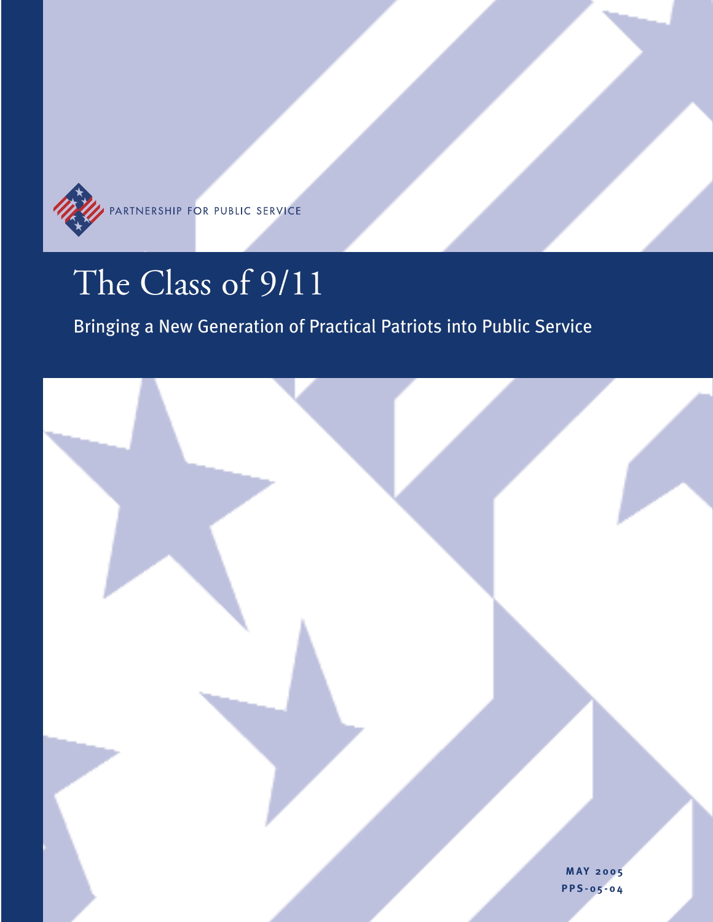

# The Class of 9/11

# Bringing a New Generation of Practical Patriots into Public Service

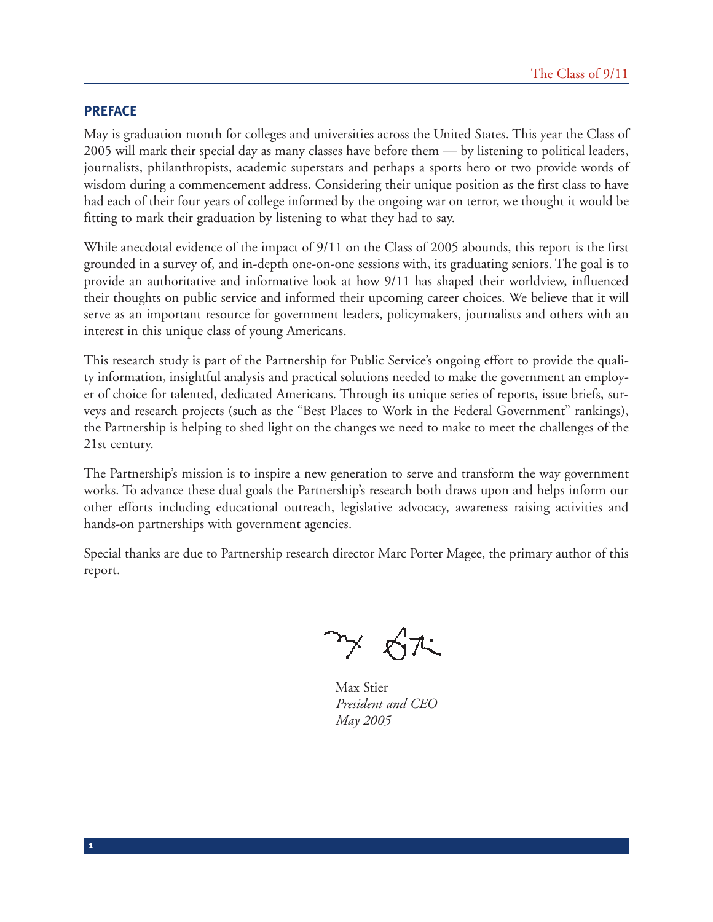#### **PREFACE**

**1**

May is graduation month for colleges and universities across the United States. This year the Class of 2005 will mark their special day as many classes have before them — by listening to political leaders, journalists, philanthropists, academic superstars and perhaps a sports hero or two provide words of wisdom during a commencement address. Considering their unique position as the first class to have had each of their four years of college informed by the ongoing war on terror, we thought it would be fitting to mark their graduation by listening to what they had to say.

While anecdotal evidence of the impact of 9/11 on the Class of 2005 abounds, this report is the first grounded in a survey of, and in-depth one-on-one sessions with, its graduating seniors. The goal is to provide an authoritative and informative look at how 9/11 has shaped their worldview, influenced their thoughts on public service and informed their upcoming career choices. We believe that it will serve as an important resource for government leaders, policymakers, journalists and others with an interest in this unique class of young Americans.

This research study is part of the Partnership for Public Service's ongoing effort to provide the quality information, insightful analysis and practical solutions needed to make the government an employer of choice for talented, dedicated Americans. Through its unique series of reports, issue briefs, surveys and research projects (such as the "Best Places to Work in the Federal Government" rankings), the Partnership is helping to shed light on the changes we need to make to meet the challenges of the 21st century.

The Partnership's mission is to inspire a new generation to serve and transform the way government works. To advance these dual goals the Partnership's research both draws upon and helps inform our other efforts including educational outreach, legislative advocacy, awareness raising activities and hands-on partnerships with government agencies.

Special thanks are due to Partnership research director Marc Porter Magee, the primary author of this report.

Max Stier *President and CEO May 2005*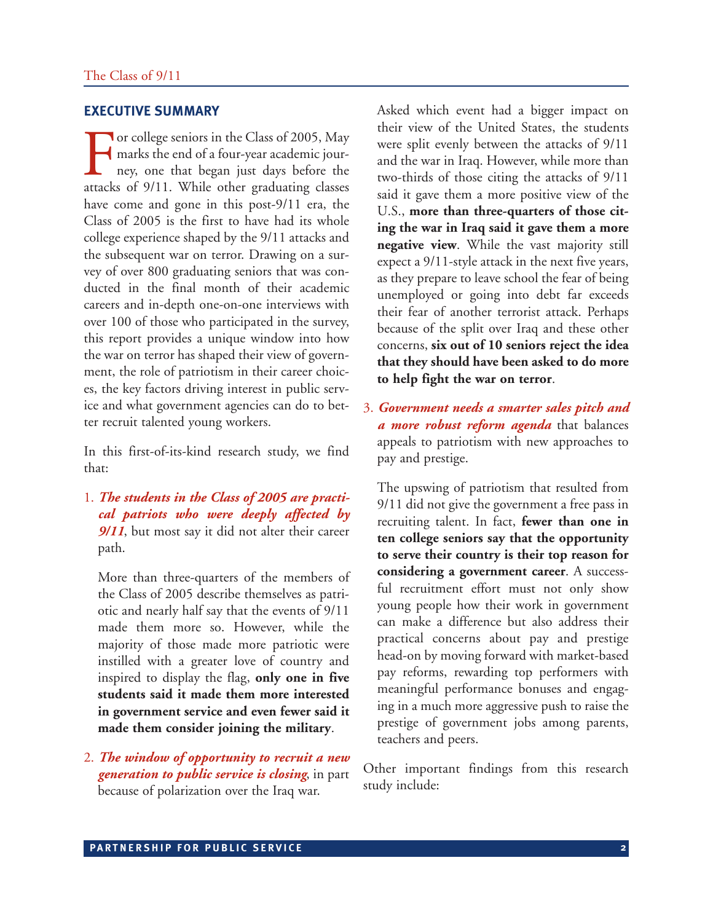#### **EXECUTIVE SUMMARY**

For college seniors in the Class of 2005, May<br>marks the end of a four-year academic jour-<br>ney, one that began just days before the<br>attacks of 9/11. While other graduating classes marks the end of a four-year academic journey, one that began just days before the attacks of 9/11. While other graduating classes have come and gone in this post-9/11 era, the Class of 2005 is the first to have had its whole college experience shaped by the 9/11 attacks and the subsequent war on terror. Drawing on a survey of over 800 graduating seniors that was conducted in the final month of their academic careers and in-depth one-on-one interviews with over 100 of those who participated in the survey, this report provides a unique window into how the war on terror has shaped their view of government, the role of patriotism in their career choices, the key factors driving interest in public service and what government agencies can do to better recruit talented young workers.

In this first-of-its-kind research study, we find that:

1. *The students in the Class of 2005 are practical patriots who were deeply affected by 9/11*, but most say it did not alter their career path.

More than three-quarters of the members of the Class of 2005 describe themselves as patriotic and nearly half say that the events of 9/11 made them more so. However, while the majority of those made more patriotic were instilled with a greater love of country and inspired to display the flag, **only one in five students said it made them more interested in government service and even fewer said it made them consider joining the military**.

2. *The window of opportunity to recruit a new generation to public service is closing*, in part because of polarization over the Iraq war.

Asked which event had a bigger impact on their view of the United States, the students were split evenly between the attacks of 9/11 and the war in Iraq. However, while more than two-thirds of those citing the attacks of 9/11 said it gave them a more positive view of the U.S., **more than three-quarters of those citing the war in Iraq said it gave them a more negative view**. While the vast majority still expect a 9/11-style attack in the next five years, as they prepare to leave school the fear of being unemployed or going into debt far exceeds their fear of another terrorist attack. Perhaps because of the split over Iraq and these other concerns, **six out of 10 seniors reject the idea that they should have been asked to do more to help fight the war on terror**.

3. *Government needs a smarter sales pitch and a more robust reform agenda* that balances appeals to patriotism with new approaches to pay and prestige.

The upswing of patriotism that resulted from 9/11 did not give the government a free pass in recruiting talent. In fact, **fewer than one in ten college seniors say that the opportunity to serve their country is their top reason for considering a government career**. A successful recruitment effort must not only show young people how their work in government can make a difference but also address their practical concerns about pay and prestige head-on by moving forward with market-based pay reforms, rewarding top performers with meaningful performance bonuses and engaging in a much more aggressive push to raise the prestige of government jobs among parents, teachers and peers.

Other important findings from this research study include: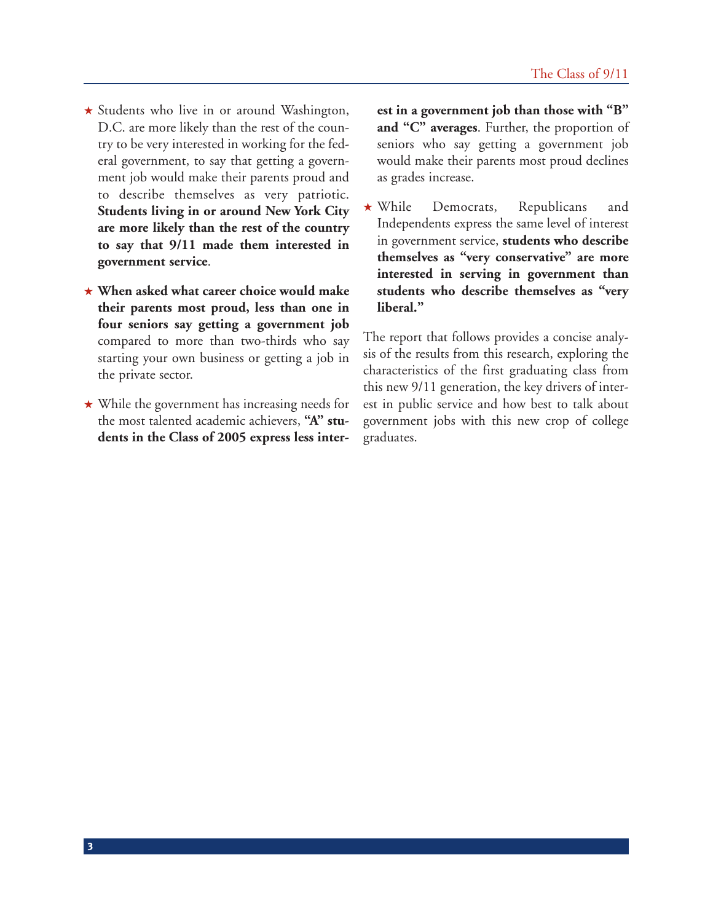- ★ Students who live in or around Washington, D.C. are more likely than the rest of the country to be very interested in working for the federal government, to say that getting a government job would make their parents proud and to describe themselves as very patriotic. **Students living in or around New York City are more likely than the rest of the country to say that 9/11 made them interested in government service**.
- ★ **When asked what career choice would make their parents most proud, less than one in four seniors say getting a government job** compared to more than two-thirds who say starting your own business or getting a job in the private sector.
- ★ While the government has increasing needs for the most talented academic achievers, **"A" students in the Class of 2005 express less inter-**

**est in a government job than those with "B" and "C" averages**. Further, the proportion of seniors who say getting a government job would make their parents most proud declines as grades increase.

★ While Democrats, Republicans and Independents express the same level of interest in government service, **students who describe themselves as "very conservative" are more interested in serving in government than students who describe themselves as "very liberal."** 

The report that follows provides a concise analysis of the results from this research, exploring the characteristics of the first graduating class from this new 9/11 generation, the key drivers of interest in public service and how best to talk about government jobs with this new crop of college graduates.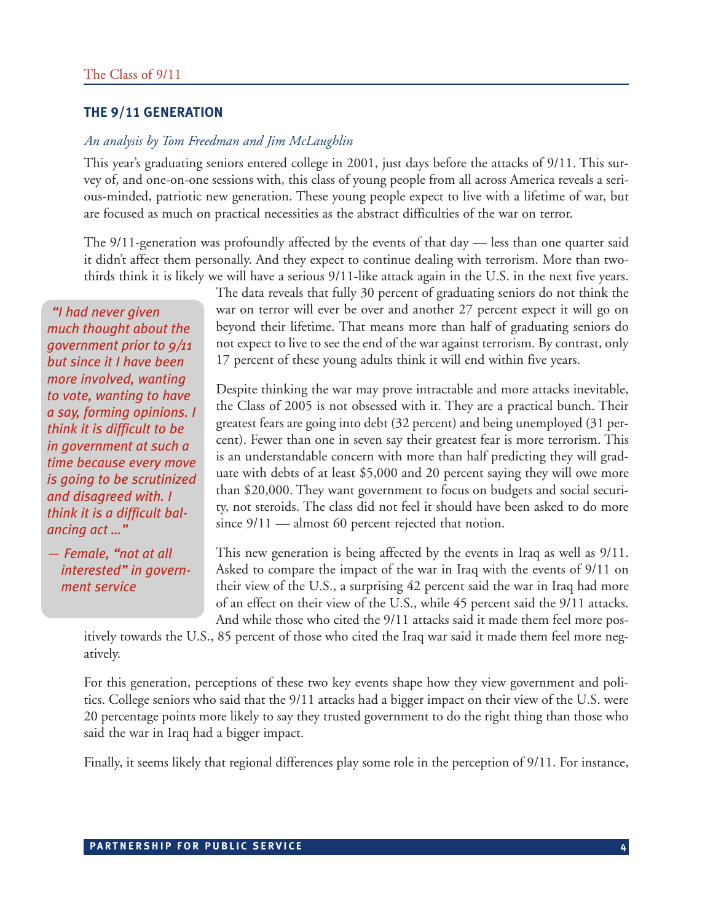#### **THE 9/11 GENERATION**

#### *An analysis by Tom Freedman and Jim McLaughlin*

This year's graduating seniors entered college in 2001, just days before the attacks of 9/11. This survey of, and one-on-one sessions with, this class of young people from all across America reveals a serious-minded, patriotic new generation. These young people expect to live with a lifetime of war, but are focused as much on practical necessities as the abstract difficulties of the war on terror.

The 9/11-generation was profoundly affected by the events of that day — less than one quarter said it didn't affect them personally. And they expect to continue dealing with terrorism. More than twothirds think it is likely we will have a serious 9/11-like attack again in the U.S. in the next five years.

*"I had never given much thought about the government prior to 9/11 but since it I have been more involved, wanting to vote, wanting to have a say, forming opinions. I think it is difficult to be in government at such a time because every move is going to be scrutinized and disagreed with. I think it is a difficult balancing act …"*

*— Female, "not at all interested" in government service*

The data reveals that fully 30 percent of graduating seniors do not think the war on terror will ever be over and another 27 percent expect it will go on beyond their lifetime. That means more than half of graduating seniors do not expect to live to see the end of the war against terrorism. By contrast, only 17 percent of these young adults think it will end within five years.

Despite thinking the war may prove intractable and more attacks inevitable, the Class of 2005 is not obsessed with it. They are a practical bunch. Their greatest fears are going into debt (32 percent) and being unemployed (31 percent). Fewer than one in seven say their greatest fear is more terrorism. This is an understandable concern with more than half predicting they will graduate with debts of at least \$5,000 and 20 percent saying they will owe more than \$20,000. They want government to focus on budgets and social security, not steroids. The class did not feel it should have been asked to do more since  $9/11$  — almost 60 percent rejected that notion.

This new generation is being affected by the events in Iraq as well as 9/11. Asked to compare the impact of the war in Iraq with the events of 9/11 on their view of the U.S., a surprising 42 percent said the war in Iraq had more of an effect on their view of the U.S., while 45 percent said the 9/11 attacks. And while those who cited the 9/11 attacks said it made them feel more pos-

itively towards the U.S., 85 percent of those who cited the Iraq war said it made them feel more negatively.

For this generation, perceptions of these two key events shape how they view government and politics. College seniors who said that the 9/11 attacks had a bigger impact on their view of the U.S. were 20 percentage points more likely to say they trusted government to do the right thing than those who said the war in Iraq had a bigger impact.

Finally, it seems likely that regional differences play some role in the perception of 9/11. For instance,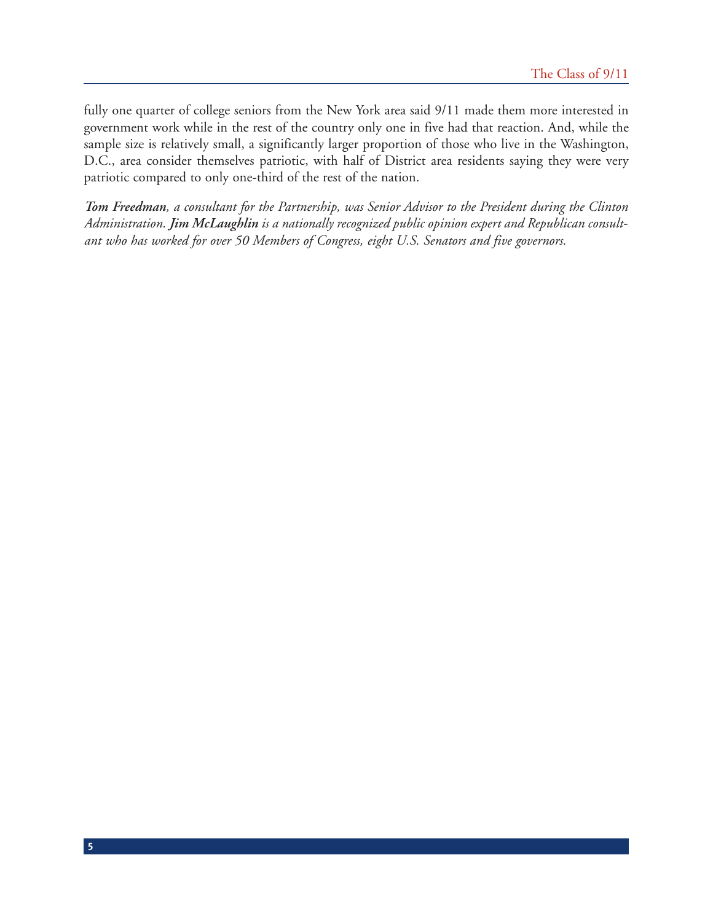fully one quarter of college seniors from the New York area said 9/11 made them more interested in government work while in the rest of the country only one in five had that reaction. And, while the sample size is relatively small, a significantly larger proportion of those who live in the Washington, D.C., area consider themselves patriotic, with half of District area residents saying they were very patriotic compared to only one-third of the rest of the nation.

*Tom Freedman, a consultant for the Partnership, was Senior Advisor to the President during the Clinton Administration. Jim McLaughlin is a nationally recognized public opinion expert and Republican consultant who has worked for over 50 Members of Congress, eight U.S. Senators and five governors.*

**5**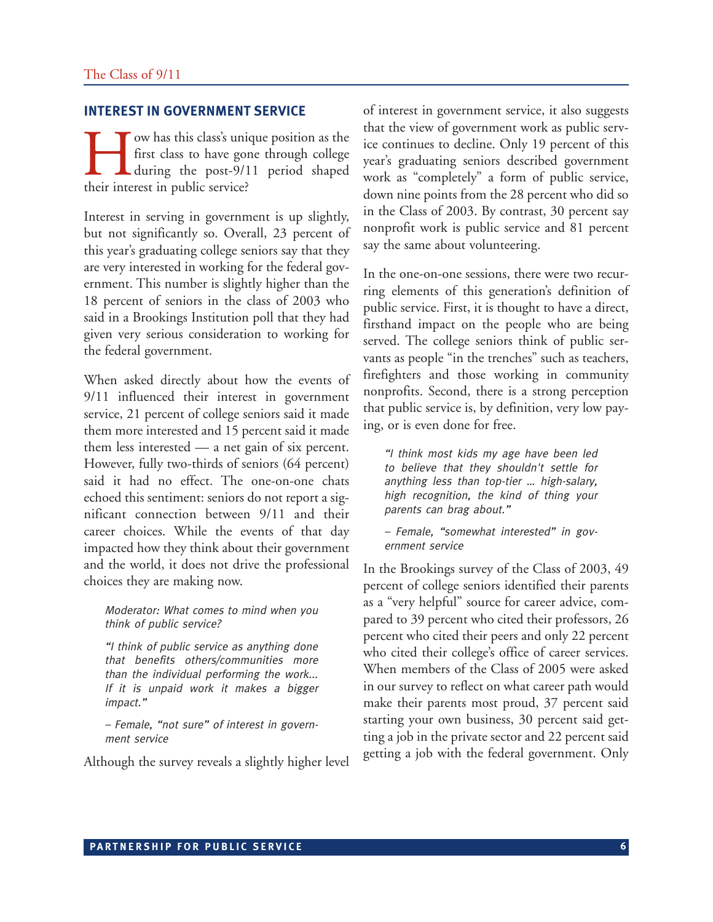#### **INTEREST IN GOVERNMENT SERVICE**

I ow has this class's unique position as the<br>first class to have gone through college<br>during the post-9/11 period shaped<br>their interest in public service? first class to have gone through college during the post-9/11 period shaped their interest in public service?

Interest in serving in government is up slightly, but not significantly so. Overall, 23 percent of this year's graduating college seniors say that they are very interested in working for the federal government. This number is slightly higher than the 18 percent of seniors in the class of 2003 who said in a Brookings Institution poll that they had given very serious consideration to working for the federal government.

When asked directly about how the events of 9/11 influenced their interest in government service, 21 percent of college seniors said it made them more interested and 15 percent said it made them less interested — a net gain of six percent. However, fully two-thirds of seniors (64 percent) said it had no effect. The one-on-one chats echoed this sentiment: seniors do not report a significant connection between 9/11 and their career choices. While the events of that day impacted how they think about their government and the world, it does not drive the professional choices they are making now.

Moderator: What comes to mind when you think of public service?

"I think of public service as anything done that benefits others/communities more than the individual performing the work... If it is unpaid work it makes a bigger impact."

– Female, "not sure" of interest in government service

Although the survey reveals a slightly higher level

of interest in government service, it also suggests that the view of government work as public service continues to decline. Only 19 percent of this year's graduating seniors described government work as "completely" a form of public service, down nine points from the 28 percent who did so in the Class of 2003. By contrast, 30 percent say nonprofit work is public service and 81 percent say the same about volunteering.

In the one-on-one sessions, there were two recurring elements of this generation's definition of public service. First, it is thought to have a direct, firsthand impact on the people who are being served. The college seniors think of public servants as people "in the trenches" such as teachers, firefighters and those working in community nonprofits. Second, there is a strong perception that public service is, by definition, very low paying, or is even done for free.

"I think most kids my age have been led to believe that they shouldn't settle for anything less than top-tier … high-salary, high recognition, the kind of thing your parents can brag about."

– Female, "somewhat interested" in government service

In the Brookings survey of the Class of 2003, 49 percent of college seniors identified their parents as a "very helpful" source for career advice, compared to 39 percent who cited their professors, 26 percent who cited their peers and only 22 percent who cited their college's office of career services. When members of the Class of 2005 were asked in our survey to reflect on what career path would make their parents most proud, 37 percent said starting your own business, 30 percent said getting a job in the private sector and 22 percent said getting a job with the federal government. Only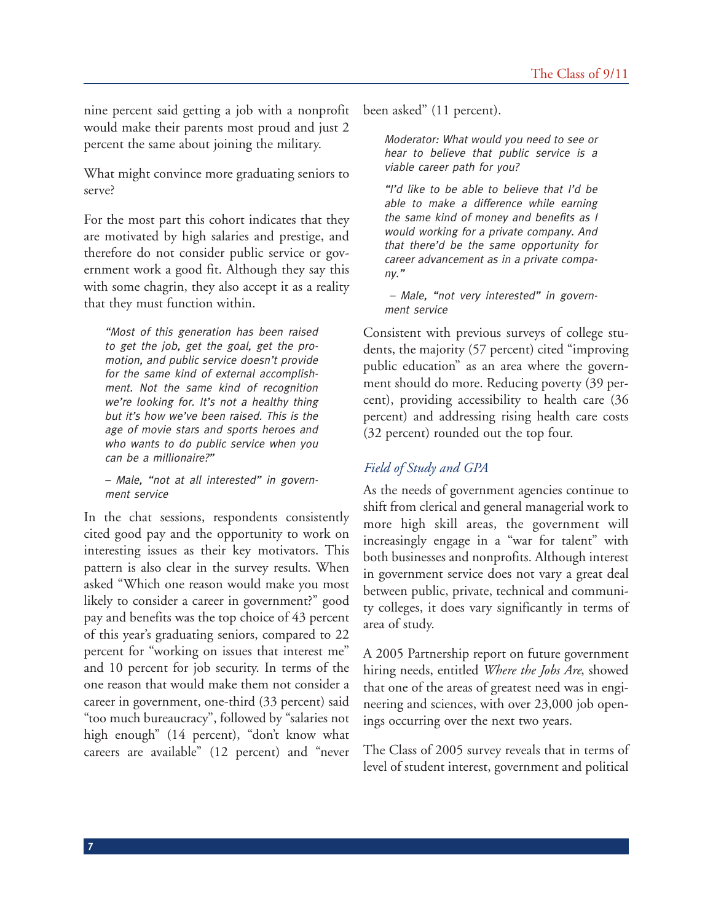nine percent said getting a job with a nonprofit would make their parents most proud and just 2 percent the same about joining the military.

What might convince more graduating seniors to serve?

For the most part this cohort indicates that they are motivated by high salaries and prestige, and therefore do not consider public service or government work a good fit. Although they say this with some chagrin, they also accept it as a reality that they must function within.

"Most of this generation has been raised to get the job, get the goal, get the promotion, and public service doesn't provide for the same kind of external accomplishment. Not the same kind of recognition we're looking for. It's not a healthy thing but it's how we've been raised. This is the age of movie stars and sports heroes and who wants to do public service when you can be a millionaire?"

– Male, "not at all interested" in government service

In the chat sessions, respondents consistently cited good pay and the opportunity to work on interesting issues as their key motivators. This pattern is also clear in the survey results. When asked "Which one reason would make you most likely to consider a career in government?" good pay and benefits was the top choice of 43 percent of this year's graduating seniors, compared to 22 percent for "working on issues that interest me" and 10 percent for job security. In terms of the one reason that would make them not consider a career in government, one-third (33 percent) said "too much bureaucracy", followed by "salaries not high enough" (14 percent), "don't know what careers are available" (12 percent) and "never

**7**

been asked" (11 percent).

Moderator: What would you need to see or hear to believe that public service is a viable career path for you?

"I'd like to be able to believe that I'd be able to make a difference while earning the same kind of money and benefits as I would working for a private company. And that there'd be the same opportunity for career advancement as in a private company."

– Male, "not very interested" in government service

Consistent with previous surveys of college students, the majority (57 percent) cited "improving public education" as an area where the government should do more. Reducing poverty (39 percent), providing accessibility to health care (36 percent) and addressing rising health care costs (32 percent) rounded out the top four.

# *Field of Study and GPA*

As the needs of government agencies continue to shift from clerical and general managerial work to more high skill areas, the government will increasingly engage in a "war for talent" with both businesses and nonprofits. Although interest in government service does not vary a great deal between public, private, technical and community colleges, it does vary significantly in terms of area of study.

A 2005 Partnership report on future government hiring needs, entitled *Where the Jobs Are*, showed that one of the areas of greatest need was in engineering and sciences, with over 23,000 job openings occurring over the next two years.

The Class of 2005 survey reveals that in terms of level of student interest, government and political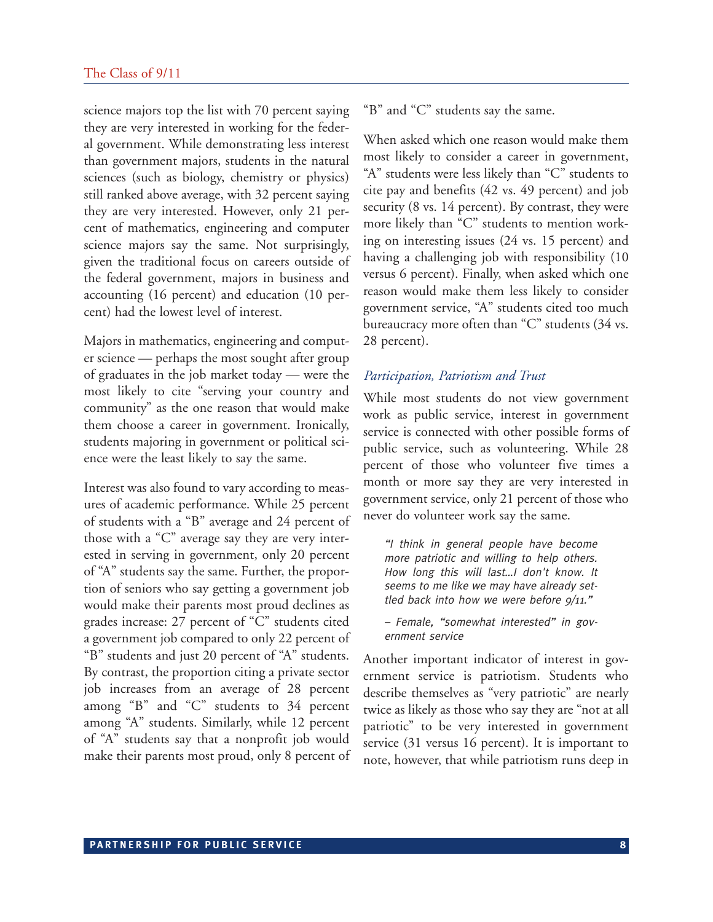science majors top the list with 70 percent saying they are very interested in working for the federal government. While demonstrating less interest than government majors, students in the natural sciences (such as biology, chemistry or physics) still ranked above average, with 32 percent saying they are very interested. However, only 21 percent of mathematics, engineering and computer science majors say the same. Not surprisingly, given the traditional focus on careers outside of the federal government, majors in business and accounting (16 percent) and education (10 percent) had the lowest level of interest.

Majors in mathematics, engineering and computer science — perhaps the most sought after group of graduates in the job market today — were the most likely to cite "serving your country and community" as the one reason that would make them choose a career in government. Ironically, students majoring in government or political science were the least likely to say the same.

Interest was also found to vary according to measures of academic performance. While 25 percent of students with a "B" average and 24 percent of those with a "C" average say they are very interested in serving in government, only 20 percent of "A" students say the same. Further, the proportion of seniors who say getting a government job would make their parents most proud declines as grades increase: 27 percent of "C" students cited a government job compared to only 22 percent of "B" students and just 20 percent of "A" students. By contrast, the proportion citing a private sector job increases from an average of 28 percent among "B" and "C" students to 34 percent among "A" students. Similarly, while 12 percent of "A" students say that a nonprofit job would make their parents most proud, only 8 percent of "B" and "C" students say the same.

When asked which one reason would make them most likely to consider a career in government, "A" students were less likely than "C" students to cite pay and benefits (42 vs. 49 percent) and job security (8 vs. 14 percent). By contrast, they were more likely than "C" students to mention working on interesting issues (24 vs. 15 percent) and having a challenging job with responsibility (10 versus 6 percent). Finally, when asked which one reason would make them less likely to consider government service, "A" students cited too much bureaucracy more often than "C" students (34 vs. 28 percent).

#### *Participation, Patriotism and Trust*

While most students do not view government work as public service, interest in government service is connected with other possible forms of public service, such as volunteering. While 28 percent of those who volunteer five times a month or more say they are very interested in government service, only 21 percent of those who never do volunteer work say the same.

"I think in general people have become more patriotic and willing to help others. How long this will last…I don't know. It seems to me like we may have already settled back into how we were before  $9/11$ ."

– Female, "somewhat interested" in government service

Another important indicator of interest in government service is patriotism. Students who describe themselves as "very patriotic" are nearly twice as likely as those who say they are "not at all patriotic" to be very interested in government service (31 versus 16 percent). It is important to note, however, that while patriotism runs deep in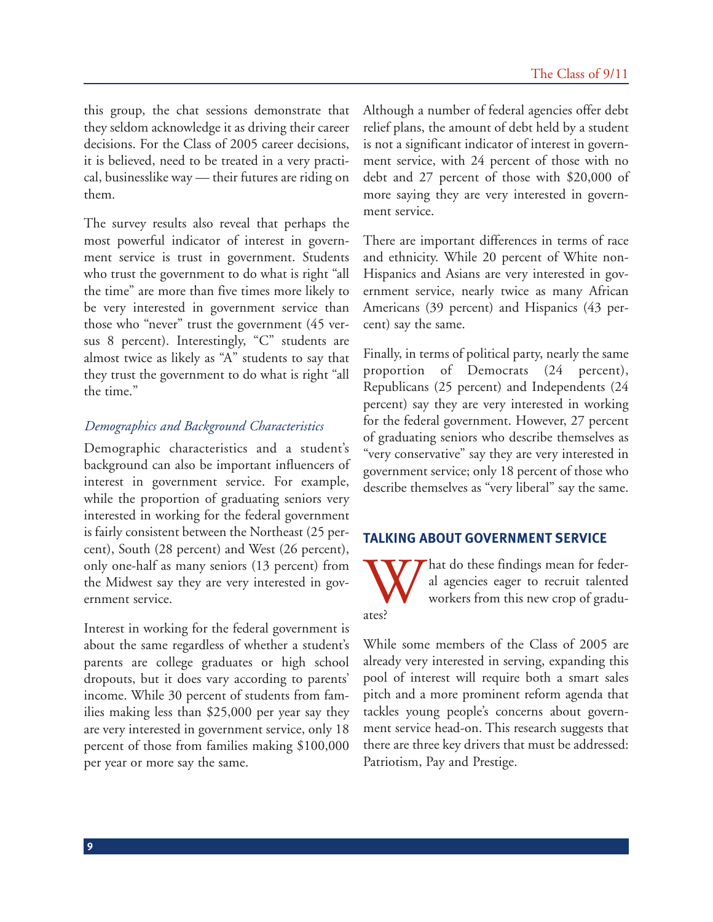this group, the chat sessions demonstrate that they seldom acknowledge it as driving their career decisions. For the Class of 2005 career decisions, it is believed, need to be treated in a very practical, businesslike way — their futures are riding on them.

The survey results also reveal that perhaps the most powerful indicator of interest in government service is trust in government. Students who trust the government to do what is right "all the time" are more than five times more likely to be very interested in government service than those who "never" trust the government (45 versus 8 percent). Interestingly, "C" students are almost twice as likely as "A" students to say that they trust the government to do what is right "all the time."

#### *Demographics and Background Characteristics*

Demographic characteristics and a student's background can also be important influencers of interest in government service. For example, while the proportion of graduating seniors very interested in working for the federal government is fairly consistent between the Northeast (25 percent), South (28 percent) and West (26 percent), only one-half as many seniors (13 percent) from the Midwest say they are very interested in government service.

Interest in working for the federal government is about the same regardless of whether a student's parents are college graduates or high school dropouts, but it does vary according to parents' income. While 30 percent of students from families making less than \$25,000 per year say they are very interested in government service, only 18 percent of those from families making \$100,000 per year or more say the same.

Although a number of federal agencies offer debt relief plans, the amount of debt held by a student is not a significant indicator of interest in government service, with 24 percent of those with no debt and 27 percent of those with \$20,000 of more saying they are very interested in government service.

There are important differences in terms of race and ethnicity. While 20 percent of White non-Hispanics and Asians are very interested in government service, nearly twice as many African Americans (39 percent) and Hispanics (43 percent) say the same.

Finally, in terms of political party, nearly the same proportion of Democrats (24 percent), Republicans (25 percent) and Independents (24 percent) say they are very interested in working for the federal government. However, 27 percent of graduating seniors who describe themselves as "very conservative" say they are very interested in government service; only 18 percent of those who describe themselves as "very liberal" say the same.

## **TALKING ABOUT GOVERNMENT SERVICE**

What do these findings mean for feder-<br>al agencies eager to recruit talented<br>workers from this new crop of gradu-<br>ates? al agencies eager to recruit talented workers from this new crop of graduates?

While some members of the Class of 2005 are already very interested in serving, expanding this pool of interest will require both a smart sales pitch and a more prominent reform agenda that tackles young people's concerns about government service head-on. This research suggests that there are three key drivers that must be addressed: Patriotism, Pay and Prestige.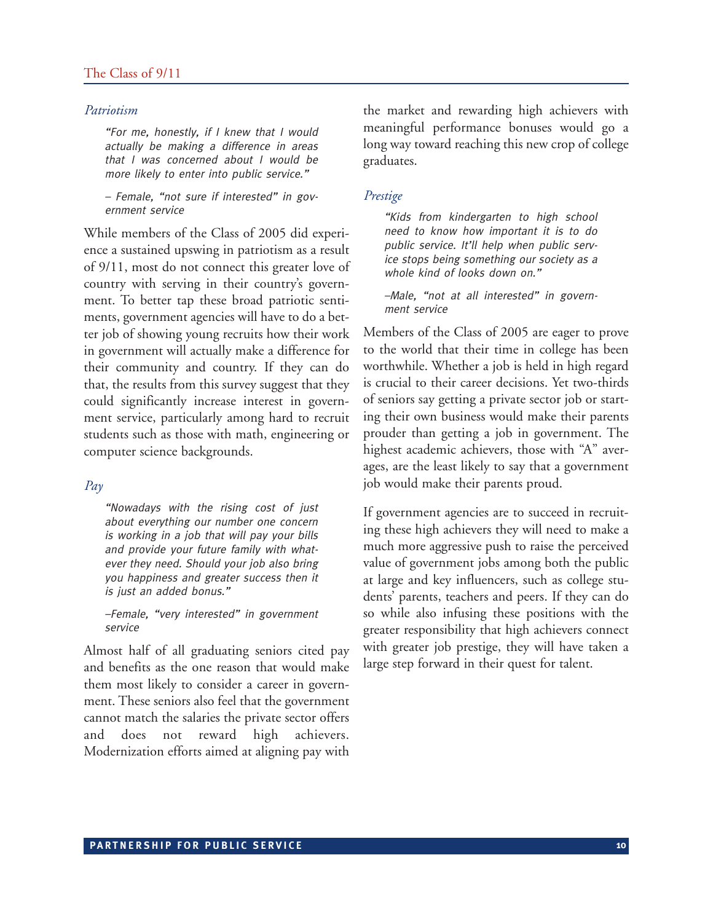#### The Class of 9/11

#### *Patriotism*

"For me, honestly, if I knew that I would actually be making a difference in areas that I was concerned about I would be more likely to enter into public service."

– Female, "not sure if interested" in government service

While members of the Class of 2005 did experience a sustained upswing in patriotism as a result of 9/11, most do not connect this greater love of country with serving in their country's government. To better tap these broad patriotic sentiments, government agencies will have to do a better job of showing young recruits how their work in government will actually make a difference for their community and country. If they can do that, the results from this survey suggest that they could significantly increase interest in government service, particularly among hard to recruit students such as those with math, engineering or computer science backgrounds.

#### *Pay*

"Nowadays with the rising cost of just about everything our number one concern is working in a job that will pay your bills and provide your future family with whatever they need. Should your job also bring you happiness and greater success then it is just an added bonus."

–Female, "very interested" in government service

Almost half of all graduating seniors cited pay and benefits as the one reason that would make them most likely to consider a career in government. These seniors also feel that the government cannot match the salaries the private sector offers and does not reward high achievers. Modernization efforts aimed at aligning pay with

the market and rewarding high achievers with meaningful performance bonuses would go a long way toward reaching this new crop of college graduates.

#### *Prestige*

"Kids from kindergarten to high school need to know how important it is to do public service. It'll help when public service stops being something our society as a whole kind of looks down on."

–Male, "not at all interested" in government service

Members of the Class of 2005 are eager to prove to the world that their time in college has been worthwhile. Whether a job is held in high regard is crucial to their career decisions. Yet two-thirds of seniors say getting a private sector job or starting their own business would make their parents prouder than getting a job in government. The highest academic achievers, those with "A" averages, are the least likely to say that a government job would make their parents proud.

If government agencies are to succeed in recruiting these high achievers they will need to make a much more aggressive push to raise the perceived value of government jobs among both the public at large and key influencers, such as college students' parents, teachers and peers. If they can do so while also infusing these positions with the greater responsibility that high achievers connect with greater job prestige, they will have taken a large step forward in their quest for talent.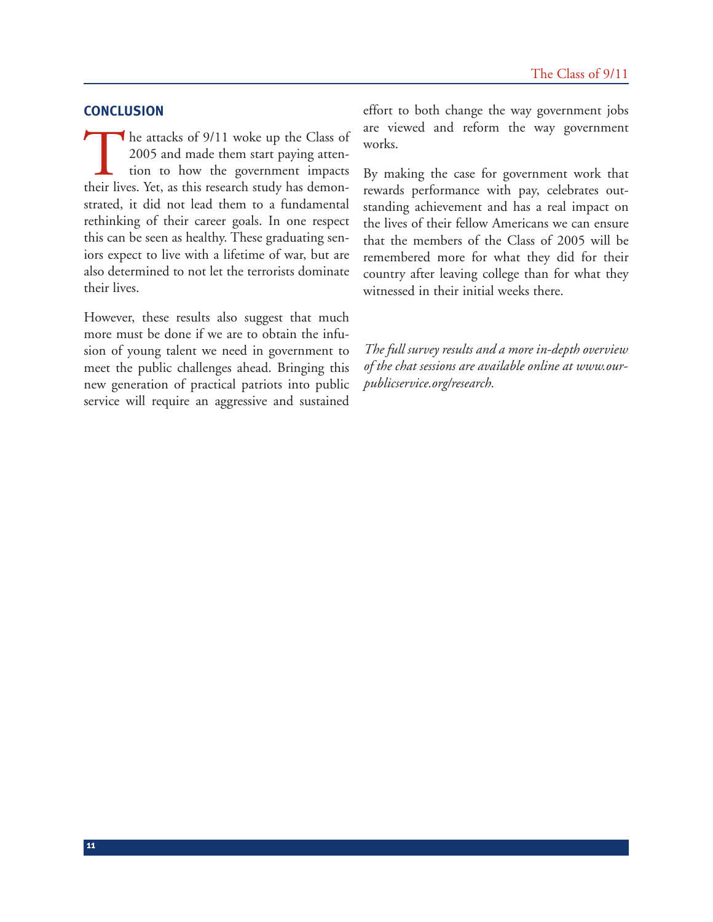#### **CONCLUSION**

The attacks of 9/11 woke up the Class of 2005 and made them start paying attention to how the government impacts their lives. Yet, as this research study has demon-2005 and made them start paying attention to how the government impacts their lives. Yet, as this research study has demonstrated, it did not lead them to a fundamental rethinking of their career goals. In one respect this can be seen as healthy. These graduating seniors expect to live with a lifetime of war, but are also determined to not let the terrorists dominate their lives.

However, these results also suggest that much more must be done if we are to obtain the infusion of young talent we need in government to meet the public challenges ahead. Bringing this new generation of practical patriots into public service will require an aggressive and sustained effort to both change the way government jobs are viewed and reform the way government works.

By making the case for government work that rewards performance with pay, celebrates outstanding achievement and has a real impact on the lives of their fellow Americans we can ensure that the members of the Class of 2005 will be remembered more for what they did for their country after leaving college than for what they witnessed in their initial weeks there.

*The full survey results and a more in-depth overview of the chat sessions are available online at [www.our](www.ourpublicservice.org/research)[publicservice.org/research.](www.ourpublicservice.org/research)*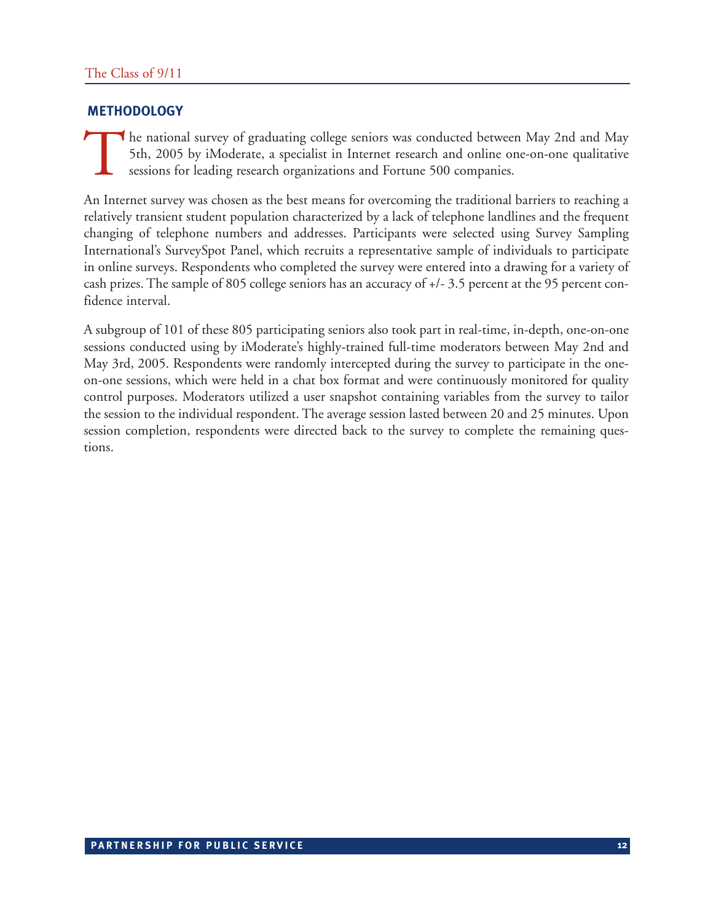# **METHODOLOGY**

The national survey of graduating college seniors was conducted between May 2nd and May 5th, 2005 by iModerate, a specialist in Internet research and online one-on-one qualitative sessions for leading research organization 5th, 2005 by iModerate, a specialist in Internet research and online one-on-one qualitative sessions for leading research organizations and Fortune 500 companies.

An Internet survey was chosen as the best means for overcoming the traditional barriers to reaching a relatively transient student population characterized by a lack of telephone landlines and the frequent changing of telephone numbers and addresses. Participants were selected using Survey Sampling International's SurveySpot Panel, which recruits a representative sample of individuals to participate in online surveys. Respondents who completed the survey were entered into a drawing for a variety of cash prizes. The sample of 805 college seniors has an accuracy of +/- 3.5 percent at the 95 percent confidence interval.

A subgroup of 101 of these 805 participating seniors also took part in real-time, in-depth, one-on-one sessions conducted using by iModerate's highly-trained full-time moderators between May 2nd and May 3rd, 2005. Respondents were randomly intercepted during the survey to participate in the oneon-one sessions, which were held in a chat box format and were continuously monitored for quality control purposes. Moderators utilized a user snapshot containing variables from the survey to tailor the session to the individual respondent. The average session lasted between 20 and 25 minutes. Upon session completion, respondents were directed back to the survey to complete the remaining questions.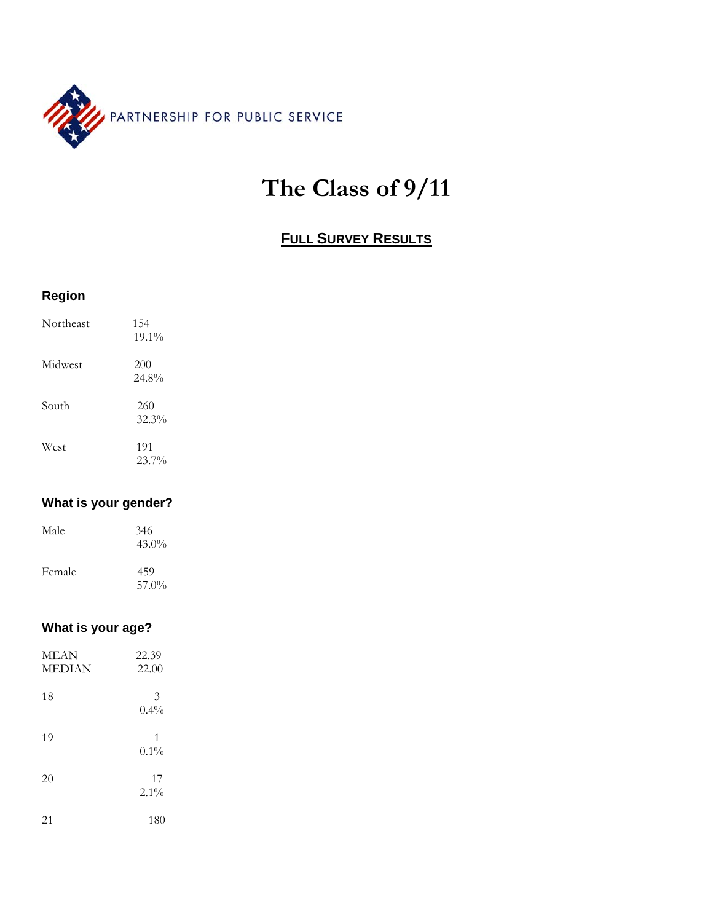

# **The Class of 9/11**

# **FULL SURVEY RESULTS**

| <b>Region</b> |                 |
|---------------|-----------------|
| Northeast     | 154<br>$19.1\%$ |
| Midwest       | 200<br>24.8%    |
| South         | 260<br>32.3%    |
| West          | 191<br>23.7%    |

# **What is your gender?**

| Male   | 346<br>$43.0\%$ |
|--------|-----------------|
| Female | 459<br>57.0%    |

# **What is your age?**

| MEAN<br><b>MEDIAN</b> | 22.39<br>22.00 |
|-----------------------|----------------|
| 18                    | 3<br>$0.4\%$   |
| 19                    | 1<br>$0.1\%$   |
| 20                    | 17<br>$2.1\%$  |
| 21                    | 180            |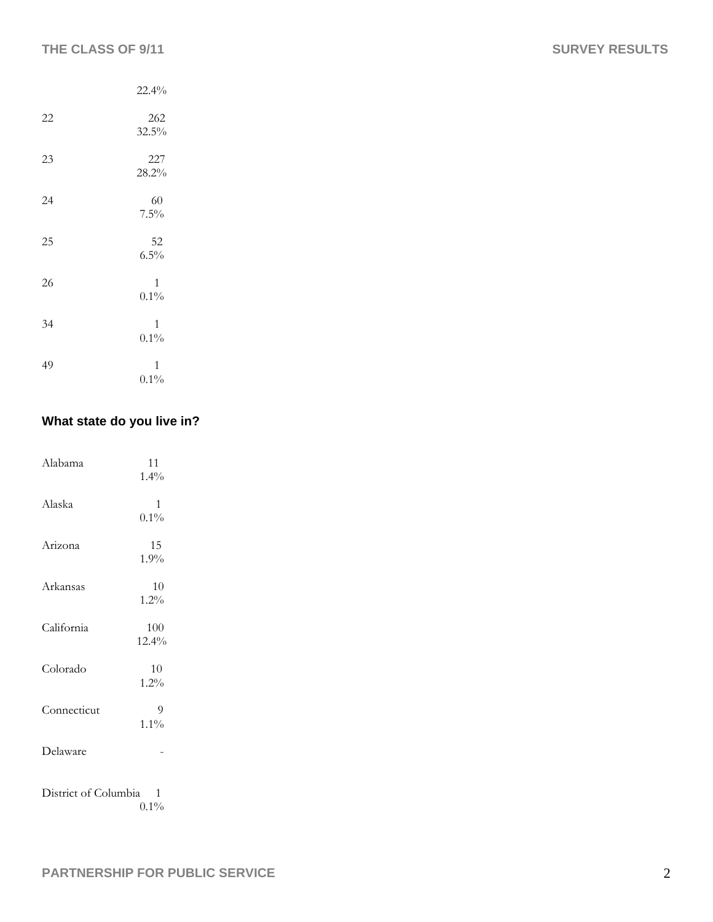|    | 22.4%                   |
|----|-------------------------|
| 22 | 262<br>32.5%            |
| 23 | 227<br>28.2%            |
| 24 | 60<br>7.5%              |
| 25 | 52<br>6.5%              |
| 26 | 1<br>$0.1\%$            |
| 34 | 1<br>$0.1\%$            |
| 49 | $\mathbf{1}$<br>$0.1\%$ |

# **What state do you live in?**

| Alabama                                                             | 11<br>1.4%              |  |
|---------------------------------------------------------------------|-------------------------|--|
| Alaska                                                              | $\mathbf{1}$<br>$0.1\%$ |  |
| Arizona                                                             | 15<br>1.9%              |  |
| Arkansas                                                            | 10<br>$1.2\%$           |  |
| California                                                          | 100<br>12.4%            |  |
| Colorado                                                            | 10<br>1.2%              |  |
| Connecticut                                                         | 9<br>$1.1\%$            |  |
| Delaware                                                            |                         |  |
| District of Columbia<br>$\overline{\phantom{0}}$ 1<br>$\bigcap$ 40/ |                         |  |

 $0.1\%$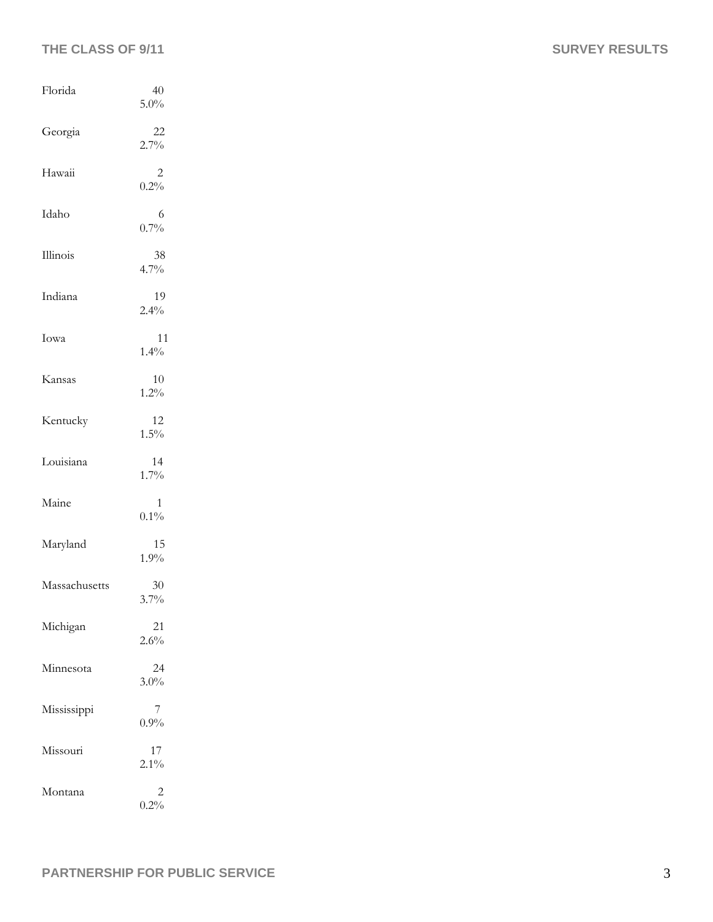# THE CLASS OF 9/11 SURVEY RESULTS

| Florida       | 40<br>5.0%    |
|---------------|---------------|
| Georgia       | 22<br>2.7%    |
| Hawaii        | 2<br>0.2%     |
| Idaho         | 6<br>0.7%     |
| Illinois      | 38<br>4.7%    |
| Indiana       | 19<br>2.4%    |
| Iowa          | 11<br>1.4%    |
| Kansas        | 10<br>1.2%    |
| Kentucky      | 12<br>$1.5\%$ |
| Louisiana     | 14<br>$1.7\%$ |
| Maine         | 1<br>0.1%     |
| Maryland      | 15<br>1.9%    |
| Massachusetts | 30<br>3.7%    |
| Michigan      | 21<br>2.6%    |
| Minnesota     | 24<br>3.0%    |
| Mississippi   | 7<br>0.9%     |
| Missouri      | 17<br>$2.1\%$ |
| Montana       | 2<br>0.2%     |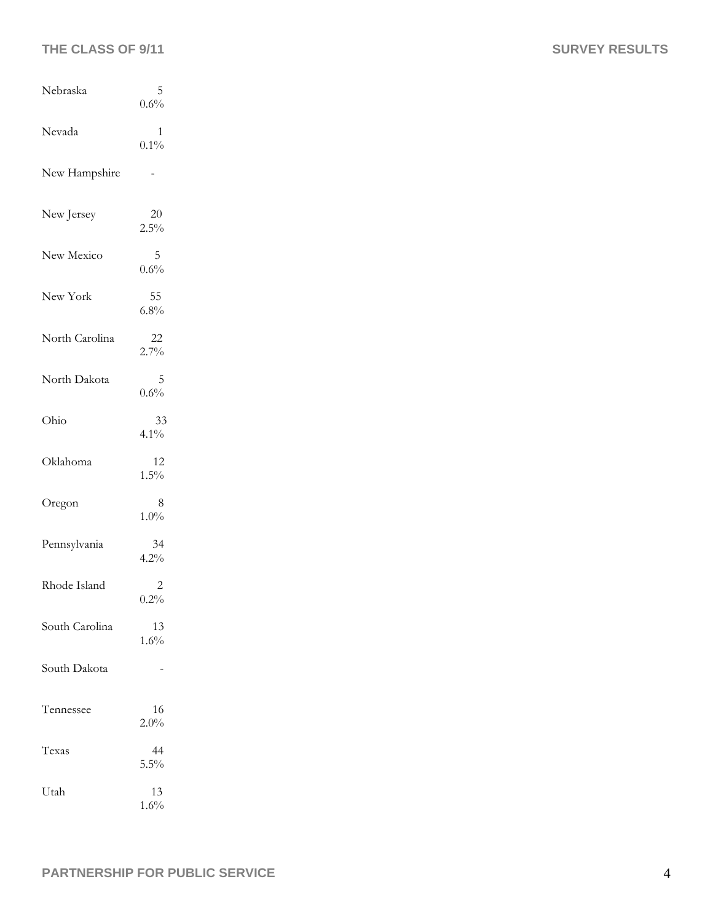# THE CLASS OF 9/11 SURVEY RESULTS

| Nebraska       | 5<br>0.6%      |
|----------------|----------------|
| Nevada         | 1<br>$0.1\%$   |
| New Hampshire  |                |
| New Jersey     | $20\,$<br>2.5% |
| New Mexico     | 5<br>0.6%      |
| New York       | 55<br>6.8%     |
| North Carolina | 22<br>2.7%     |
| North Dakota   | 5<br>0.6%      |
| Ohio           | 33<br>4.1%     |
| Oklahoma       | 12<br>1.5%     |
| Oregon         | 8<br>$1.0\%$   |
| Pennsylvania   | 34<br>4.2%     |
| Rhode Island   | 2<br>0.2%      |
| South Carolina | 13<br>1.6%     |
| South Dakota   |                |
| Tennessee      | 16<br>2.0%     |
| Texas          | 44<br>5.5%     |
| Utah           | 13<br>1.6%     |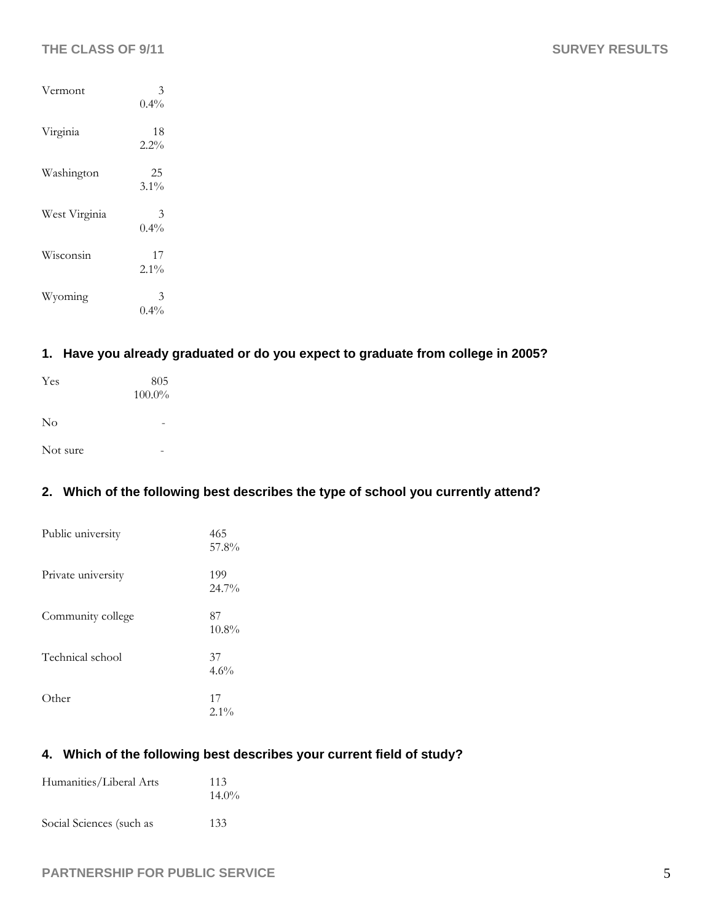| Vermont       | 3<br>$0.4\%$  |
|---------------|---------------|
| Virginia      | 18<br>$2.2\%$ |
| Washington    | 25<br>$3.1\%$ |
| West Virginia | 3<br>0.4%     |
| Wisconsin     | 17<br>$2.1\%$ |
| Wyoming       | 3<br>$0.4\%$  |

# **1. Have you already graduated or do you expect to graduate from college in 2005?**

| Yes      | 805<br>$100.0\%$ |  |  |
|----------|------------------|--|--|
| $\rm No$ | -                |  |  |
| Not sure | -                |  |  |

# **2. Which of the following best describes the type of school you currently attend?**

| Public university  | 465<br>57.8%   |
|--------------------|----------------|
| Private university | 199<br>24.7%   |
| Community college  | 87<br>$10.8\%$ |
| Technical school   | 37<br>4.6%     |
| Other              | 17<br>$2.1\%$  |

# **4. Which of the following best describes your current field of study?**

| Humanities/Liberal Arts  | 113<br>$14.0\%$ |
|--------------------------|-----------------|
| Social Sciences (such as | 133             |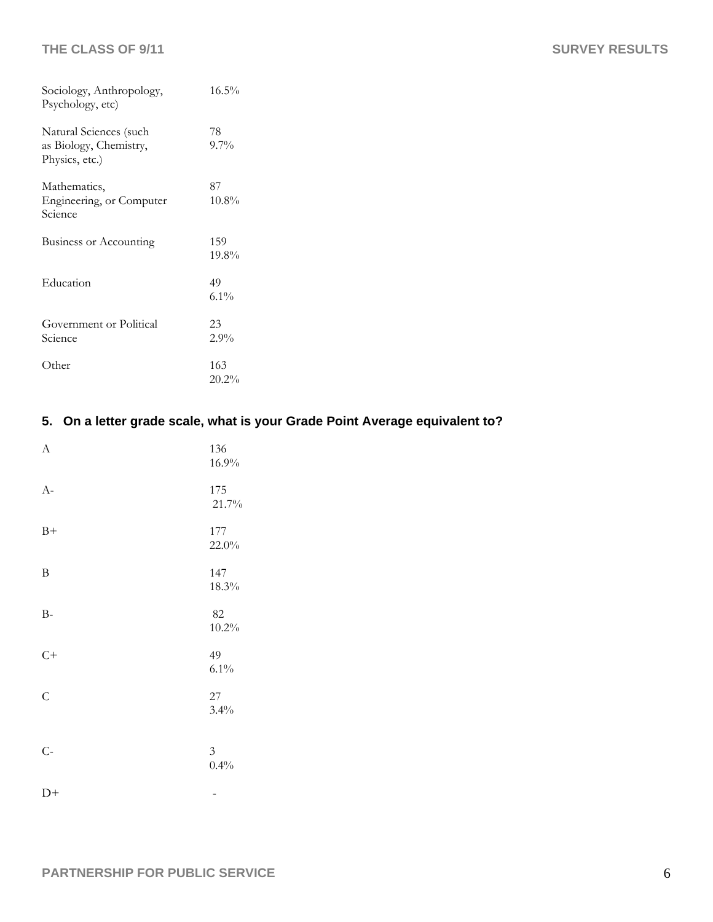| Sociology, Anthropology,<br>Psychology, etc)                       | 16.5%           |
|--------------------------------------------------------------------|-----------------|
| Natural Sciences (such<br>as Biology, Chemistry,<br>Physics, etc.) | 78<br>$9.7\%$   |
| Mathematics,<br>Engineering, or Computer<br>Science                | 87<br>$10.8\%$  |
| Business or Accounting                                             | 159<br>19.8%    |
| Education                                                          | 49<br>$6.1\%$   |
| Government or Political<br>Science                                 | 23<br>2.9%      |
| Other                                                              | 163<br>$20.2\%$ |

# **5. On a letter grade scale, what is your Grade Point Average equivalent to?**

| $\mathbf{A}$   | 136<br>16.9%           |
|----------------|------------------------|
| $A-$           | 175<br>21.7%           |
| $B+$           | 177<br>22.0%           |
| $\, {\bf B}$   | 147<br>18.3%           |
| $B-$           | 82<br>$10.2\%$         |
| $C+$           | 49<br>$6.1\%$          |
| $\mathsf{C}$   | $27\,$<br>3.4%         |
| $\overline{C}$ | $\mathfrak{Z}$<br>0.4% |
| $D+$           |                        |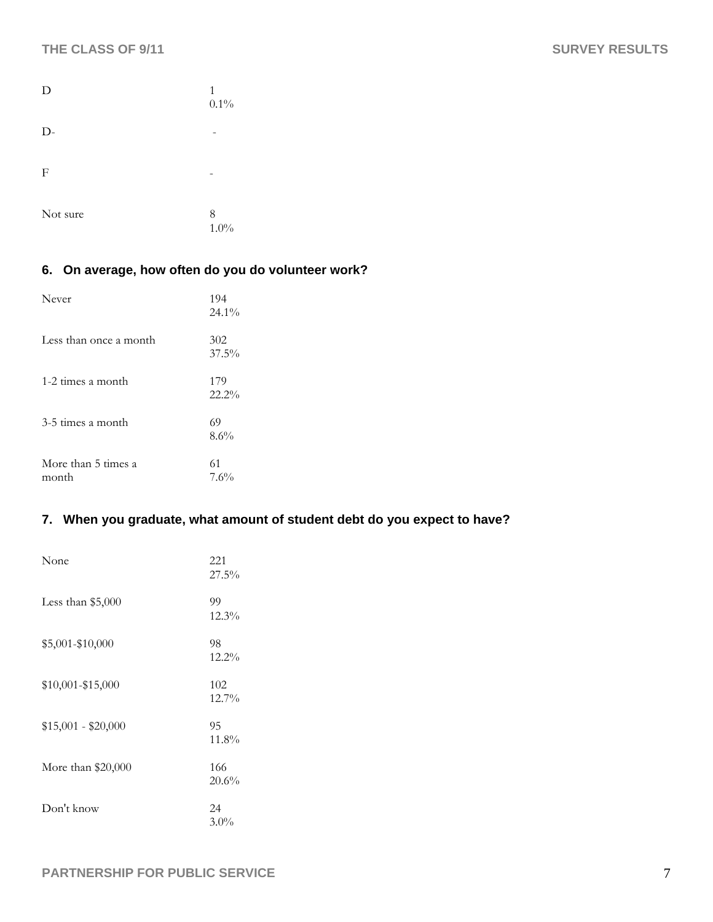| D        | 1<br>$0.1\%$ |
|----------|--------------|
| $D -$    |              |
| F        |              |
| Not sure | 8<br>1.0%    |

# **6. On average, how often do you do volunteer work?**

| Never                        | 194<br>24.1%    |
|------------------------------|-----------------|
| Less than once a month       | 302<br>$37.5\%$ |
| 1-2 times a month            | 179<br>22.2%    |
| 3-5 times a month            | 69<br>8.6%      |
| More than 5 times a<br>month | 61<br>7.6%      |

# **7. When you graduate, what amount of student debt do you expect to have?**

| None                | 221<br>27.5%    |
|---------------------|-----------------|
| Less than $$5,000$  | 99<br>12.3%     |
| \$5,001-\$10,000    | 98<br>$12.2\%$  |
| \$10,001-\$15,000   | 102<br>$12.7\%$ |
| $$15,001 - $20,000$ | 95<br>$11.8\%$  |
| More than $$20,000$ | 166<br>20.6%    |
| Don't know          | 24<br>3.0%      |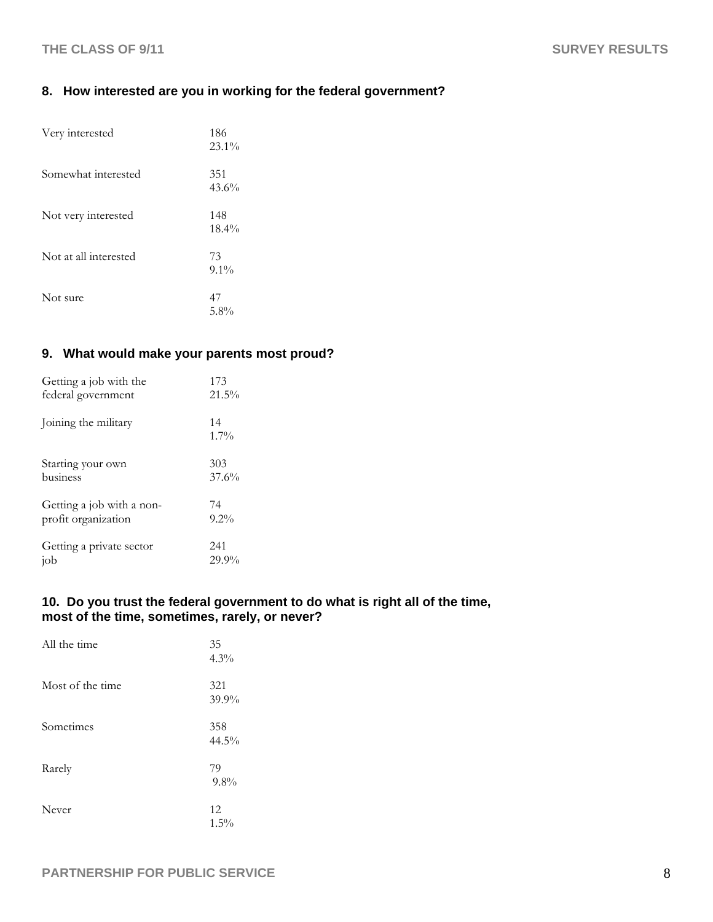# **8. How interested are you in working for the federal government?**

| Very interested       | 186<br>$23.1\%$ |
|-----------------------|-----------------|
| Somewhat interested   | 351<br>43.6%    |
| Not very interested   | 148<br>$18.4\%$ |
| Not at all interested | 73<br>$9.1\%$   |
| Not sure              | 47<br>$5.8\%$   |

# **9. What would make your parents most proud?**

| Getting a job with the    | 173           |
|---------------------------|---------------|
| federal government        | $21.5\%$      |
| Joining the military      | 14<br>$1.7\%$ |
| Starting your own         | 303           |
| business                  | 37.6%         |
| Getting a job with a non- | 74            |
| profit organization       | $9.2\%$       |
| Getting a private sector  | 241           |
| iob                       | $29.9\%$      |

## **10. Do you trust the federal government to do what is right all of the time, most of the time, sometimes, rarely, or never?**

| All the time     | 35<br>$4.3\%$   |
|------------------|-----------------|
| Most of the time | 321<br>39.9%    |
| Sometimes        | 358<br>$44.5\%$ |
| Rarely           | 79<br>9.8%      |
| Never            | 12<br>$1.5\%$   |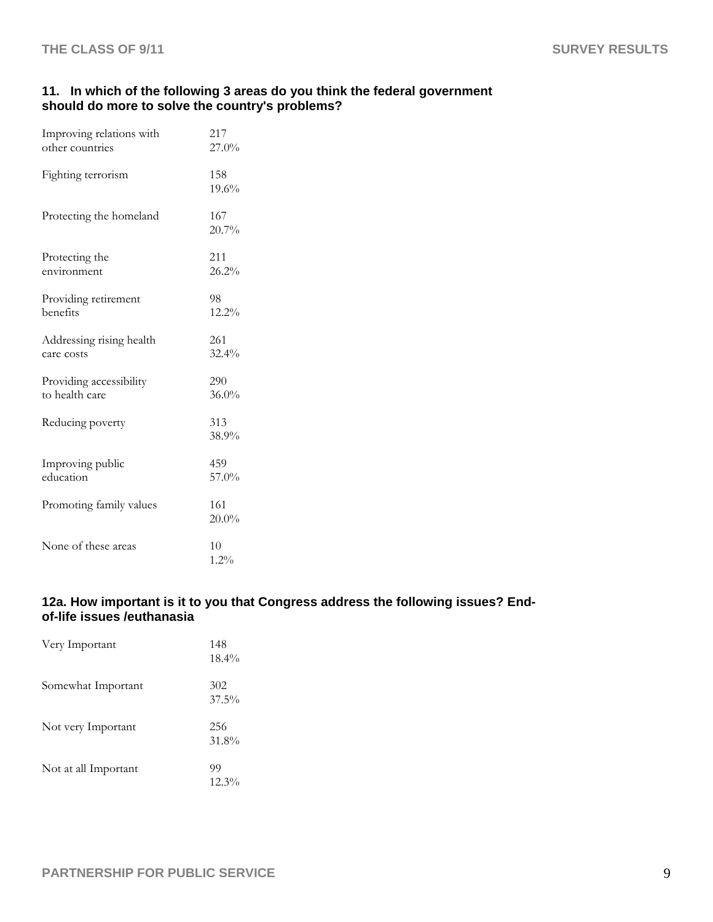#### **11. In which of the following 3 areas do you think the federal government should do more to solve the country's problems?**

| Improving relations with | 217             |
|--------------------------|-----------------|
| other countries          | 27.0%           |
| Fighting terrorism       | 158<br>19.6%    |
| Protecting the homeland  | 167<br>20.7%    |
| Protecting the           | 211             |
| environment              | 26.2%           |
| Providing retirement     | 98              |
| benefits                 | 12.2%           |
| Addressing rising health | 261             |
| care costs               | 32.4%           |
| Providing accessibility  | 290             |
| to health care           | $36.0\%$        |
| Reducing poverty         | 313<br>38.9%    |
| Improving public         | 459             |
| education                | 57.0%           |
| Promoting family values  | 161<br>$20.0\%$ |
| None of these areas      | 10<br>$1.2\%$   |

## **12a. How important is it to you that Congress address the following issues? Endof-life issues /euthanasia**

| Very Important       | 148<br>$18.4\%$ |
|----------------------|-----------------|
| Somewhat Important   | 302<br>$37.5\%$ |
| Not very Important   | 256<br>31.8%    |
| Not at all Important | 99<br>$12.3\%$  |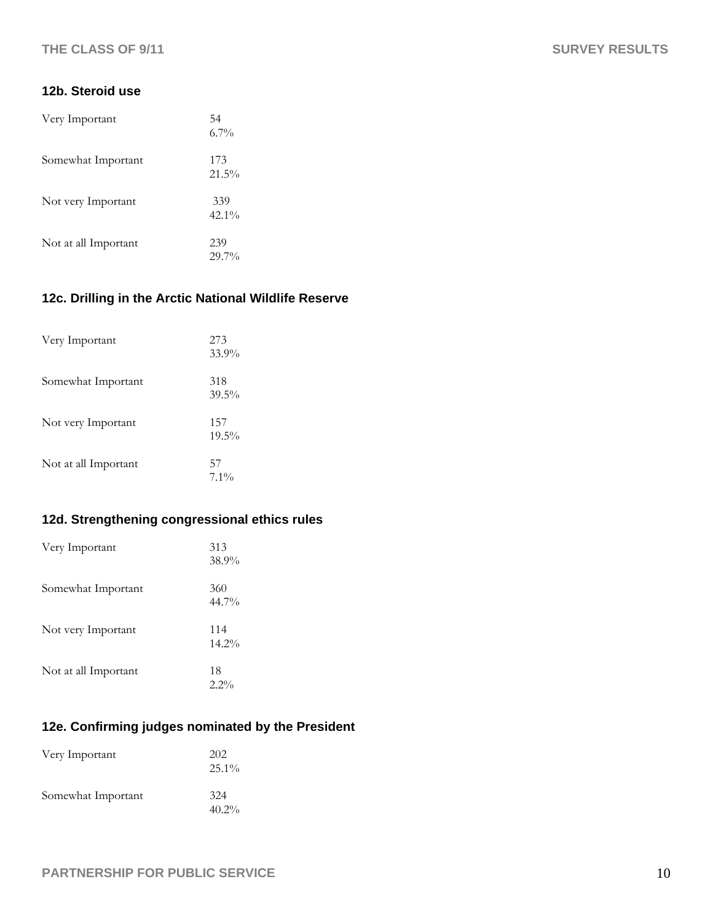### **12b. Steroid use**

| Very Important       | 54<br>$6.7\%$   |
|----------------------|-----------------|
| Somewhat Important   | 173<br>$21.5\%$ |
| Not very Important   | 339<br>$42.1\%$ |
| Not at all Important | 239<br>$29.7\%$ |

# **12c. Drilling in the Arctic National Wildlife Reserve**

| Very Important       | 273<br>33.9%    |
|----------------------|-----------------|
| Somewhat Important   | 318<br>$39.5\%$ |
| Not very Important   | 157<br>$19.5\%$ |
| Not at all Important | 57<br>$7.1\%$   |

# **12d. Strengthening congressional ethics rules**

| Very Important       | 313<br>38.9%    |
|----------------------|-----------------|
| Somewhat Important   | 360<br>44.7%    |
| Not very Important   | 114<br>$14.2\%$ |
| Not at all Important | 18<br>$2.2\%$   |

# **12e. Confirming judges nominated by the President**

| Very Important     | 202<br>$25.1\%$ |
|--------------------|-----------------|
| Somewhat Important | 324<br>$40.2\%$ |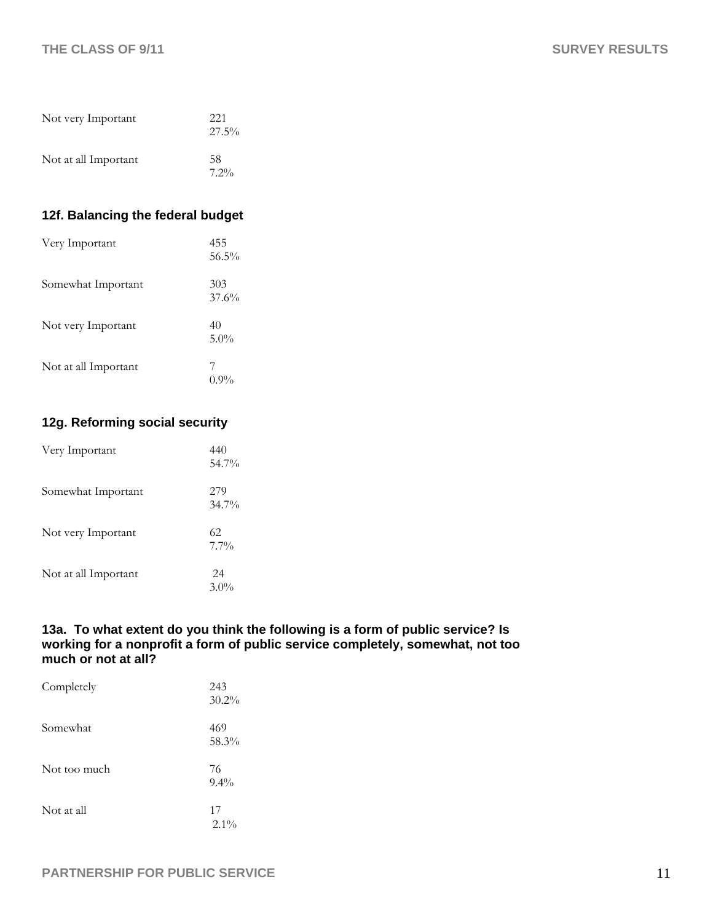| Not very Important   | 221<br>$27.5\%$ |
|----------------------|-----------------|
| Not at all Important | 58<br>$7.2\%$   |

# **12f. Balancing the federal budget**

| Very Important       | 455<br>$56.5\%$ |
|----------------------|-----------------|
| Somewhat Important   | 303<br>37.6%    |
| Not very Important   | 40<br>5.0%      |
| Not at all Important | $0.9\%$         |

# **12g. Reforming social security**

| Very Important       | 440<br>54.7%    |
|----------------------|-----------------|
| Somewhat Important   | 279<br>$34.7\%$ |
| Not very Important   | 62<br>$7.7\%$   |
| Not at all Important | 24<br>$3.0\%$   |

## **13a. To what extent do you think the following is a form of public service? Is working for a nonprofit a form of public service completely, somewhat, not too much or not at all?**

| Completely   | 243<br>$30.2\%$ |
|--------------|-----------------|
| Somewhat     | 469<br>58.3%    |
| Not too much | 76<br>$9.4\%$   |
| Not at all   | 17<br>$2.1\%$   |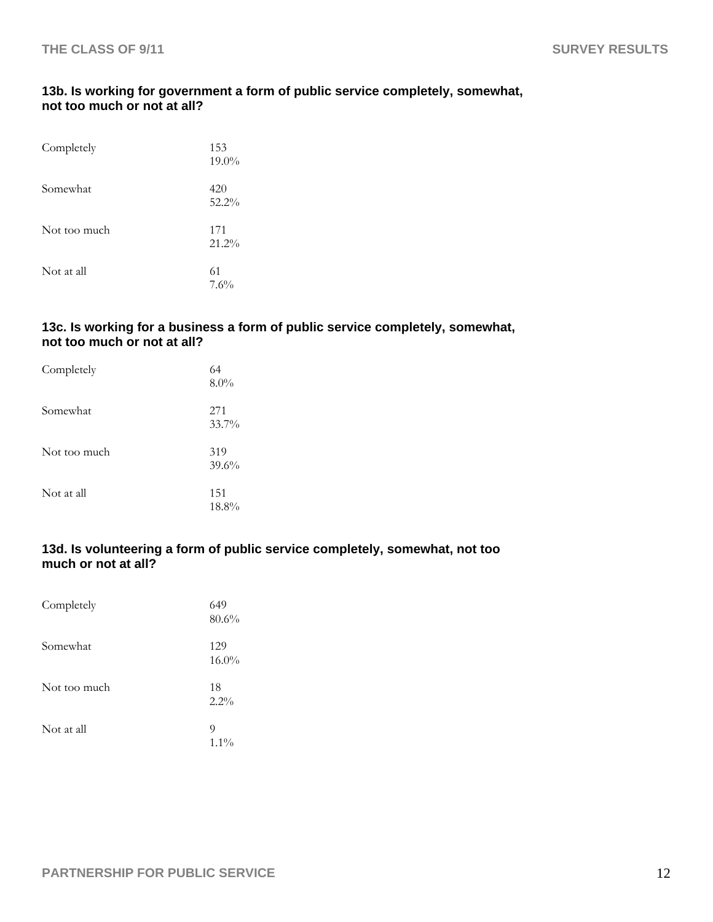# **13b. Is working for government a form of public service completely, somewhat, not too much or not at all?**

| Completely   | 153<br>$19.0\%$ |
|--------------|-----------------|
| Somewhat     | 420<br>$52.2\%$ |
| Not too much | 171<br>$21.2\%$ |
| Not at all   | 61<br>7.6%      |

## **13c. Is working for a business a form of public service completely, somewhat, not too much or not at all?**

| Completely   | 64<br>$8.0\%$ |
|--------------|---------------|
| Somewhat     | 271<br>33.7%  |
| Not too much | 319<br>39.6%  |
| Not at all   | 151<br>18.8%  |

# **13d. Is volunteering a form of public service completely, somewhat, not too much or not at all?**

| Completely   | 649<br>80.6%    |
|--------------|-----------------|
| Somewhat     | 129<br>$16.0\%$ |
| Not too much | 18<br>$2.2\%$   |
| Not at all   | 9<br>$1.1\%$    |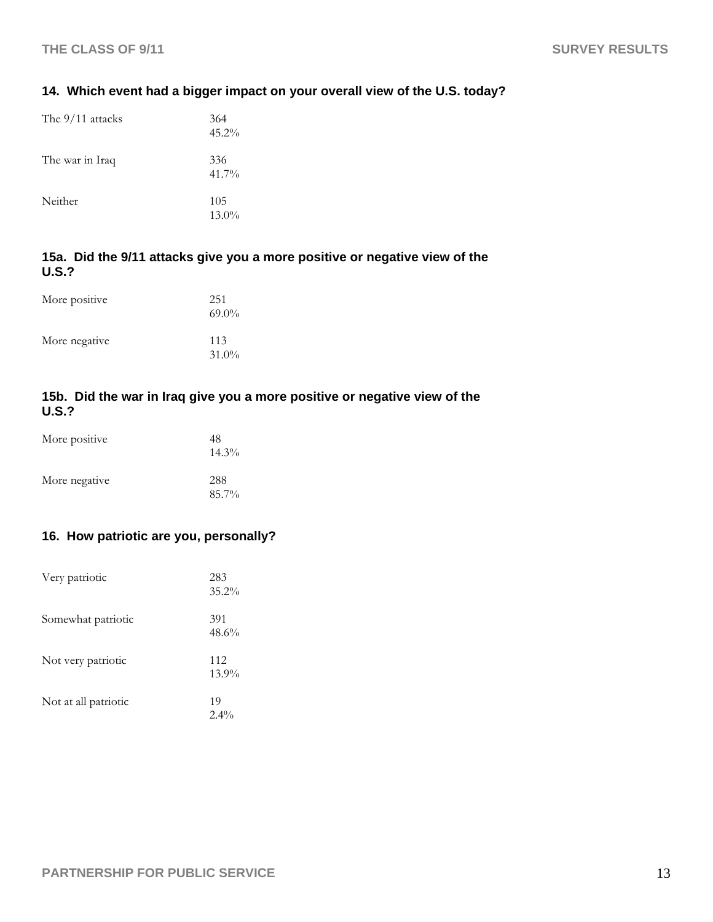# **14. Which event had a bigger impact on your overall view of the U.S. today?**

| The 9/11 attacks | 364<br>$45.2\%$ |
|------------------|-----------------|
| The war in Iraq  | 336<br>$41.7\%$ |
| Neither          | 105<br>$13.0\%$ |

# **15a. Did the 9/11 attacks give you a more positive or negative view of the U.S.?**

| More positive | 251<br>$69.0\%$ |
|---------------|-----------------|
| More negative | 113<br>$31.0\%$ |

# **15b. Did the war in Iraq give you a more positive or negative view of the U.S.?**

| More positive | 48<br>$14.3\%$ |
|---------------|----------------|
| More negative | 288<br>85.7%   |

# **16. How patriotic are you, personally?**

| Very patriotic       | 283<br>$35.2\%$ |
|----------------------|-----------------|
| Somewhat patriotic   | 391<br>48.6%    |
| Not very patriotic   | 112<br>$13.9\%$ |
| Not at all patriotic | 19<br>$2.4\%$   |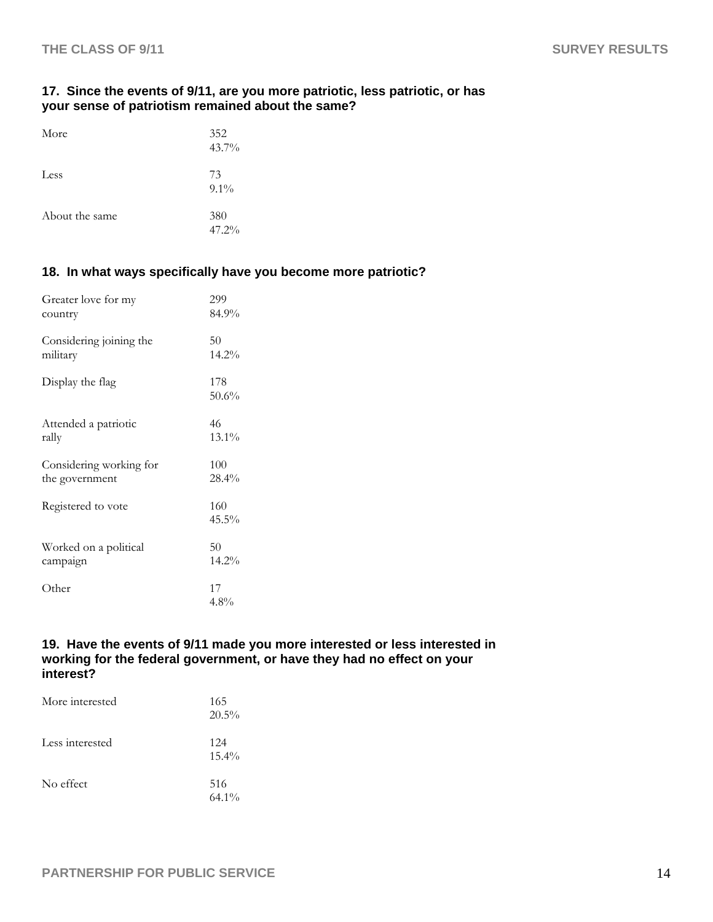## **17. Since the events of 9/11, are you more patriotic, less patriotic, or has your sense of patriotism remained about the same?**

| More           | 352<br>43.7%  |
|----------------|---------------|
| Less           | 73<br>$9.1\%$ |
| About the same | 380<br>47.2%  |

# **18. In what ways specifically have you become more patriotic?**

| Greater love for my     | 299             |
|-------------------------|-----------------|
| country                 | 84.9%           |
| Considering joining the | 50              |
| military                | 14.2%           |
| Display the flag        | 178<br>50.6%    |
| Attended a patriotic    | 46              |
| rally                   | 13.1%           |
| Considering working for | 100             |
| the government          | 28.4%           |
| Registered to vote      | 160<br>$45.5\%$ |
| Worked on a political   | 50              |
| campaign                | 14.2%           |
| Other                   | 17<br>$4.8\%$   |

#### **19. Have the events of 9/11 made you more interested or less interested in working for the federal government, or have they had no effect on your interest?**

| More interested | 165<br>$20.5\%$ |
|-----------------|-----------------|
| Less interested | 124<br>$15.4\%$ |
| No effect       | 516<br>$64.1\%$ |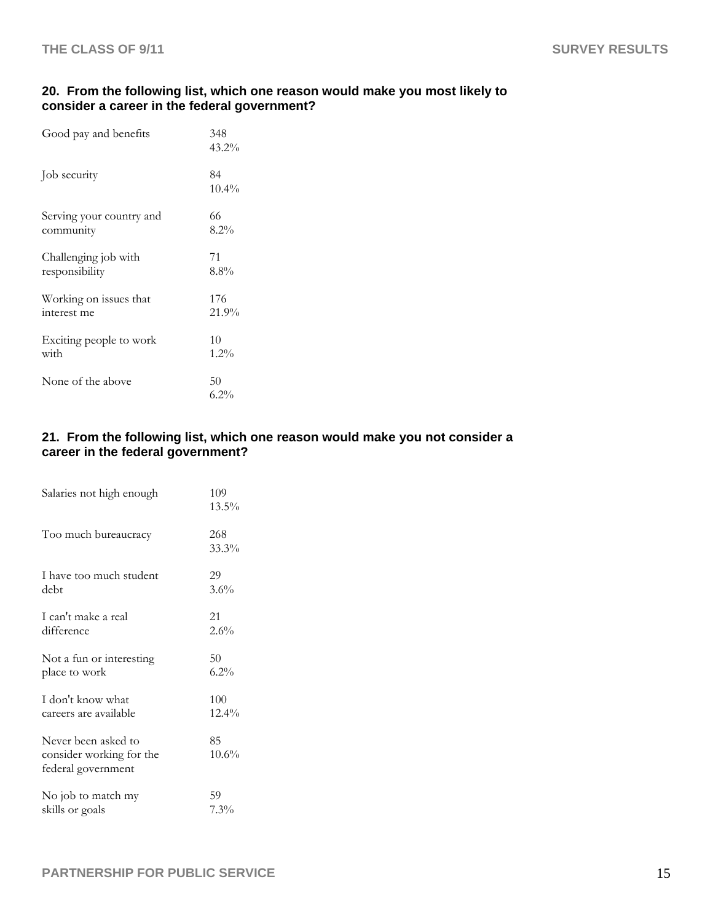# **20. From the following list, which one reason would make you most likely to consider a career in the federal government?**

| Good pay and benefits    | 348<br>$43.2\%$ |
|--------------------------|-----------------|
| Job security             | 84<br>10.4%     |
| Serving your country and | 66              |
| community                | 8.2%            |
| Challenging job with     | 71              |
| responsibility           | $8.8\%$         |
| Working on issues that   | 176             |
| interest me              | 21.9%           |
| Exciting people to work  | 10              |
| with                     | 1.2%            |
| None of the above        | 50<br>6.2%      |

# **21. From the following list, which one reason would make you not consider a career in the federal government?**

| Salaries not high enough                                              | 109<br>$13.5\%$ |
|-----------------------------------------------------------------------|-----------------|
| Too much bureaucracy                                                  | 268<br>33.3%    |
| I have too much student                                               | 29              |
| debt                                                                  | 3.6%            |
| I can't make a real                                                   | 21              |
| difference                                                            | 2.6%            |
| Not a fun or interesting                                              | 50              |
| place to work                                                         | $6.2\%$         |
| I don't know what                                                     | 100             |
| careers are available                                                 | $12.4\%$        |
| Never been asked to<br>consider working for the<br>federal government | 85<br>10.6%     |
| No job to match my                                                    | 59              |
| skills or goals                                                       | 7.3%            |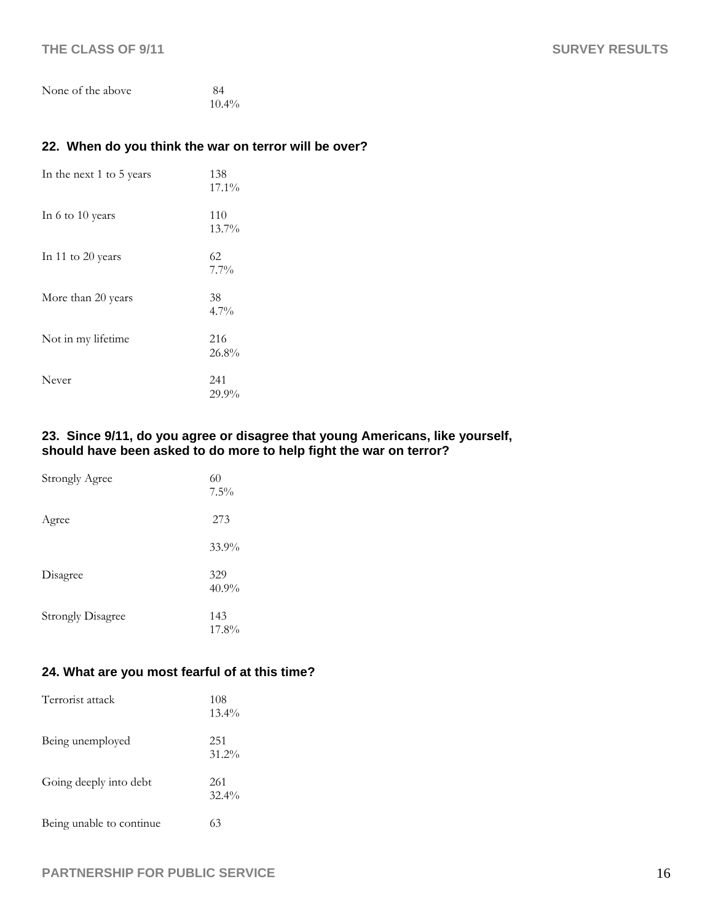| None of the above | -84      |
|-------------------|----------|
|                   | $10.4\%$ |

# **22. When do you think the war on terror will be over?**

| In the next 1 to 5 years | 138<br>17.1%    |
|--------------------------|-----------------|
| In 6 to 10 years         | 110<br>13.7%    |
| In 11 to 20 years        | 62<br>$7.7\%$   |
| More than 20 years       | 38<br>$4.7\%$   |
| Not in my lifetime       | 216<br>$26.8\%$ |
| Never                    | 241<br>$29.9\%$ |

#### **23. Since 9/11, do you agree or disagree that young Americans, like yourself, should have been asked to do more to help fight the war on terror?**

| <b>Strongly Agree</b>    | 60<br>$7.5\%$   |
|--------------------------|-----------------|
| Agree                    | 273             |
|                          | 33.9%           |
| Disagree                 | 329<br>$40.9\%$ |
| <b>Strongly Disagree</b> | 143<br>17.8%    |

# **24. What are you most fearful of at this time?**

| Terrorist attack         | 108<br>$13.4\%$ |
|--------------------------|-----------------|
| Being unemployed         | 251<br>$31.2\%$ |
| Going deeply into debt   | 261<br>$32.4\%$ |
| Being unable to continue | 63              |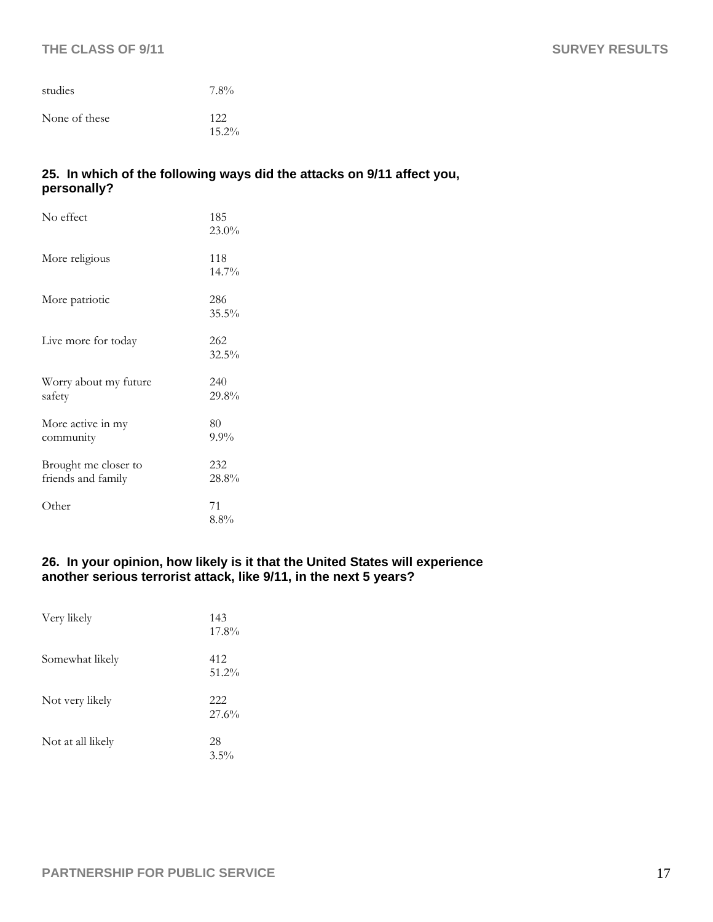### **THE CLASS OF 9/11** SURVEY RESULTS

| studies       | $7.8\%$         |
|---------------|-----------------|
| None of these | 122<br>$15.2\%$ |

# **25. In which of the following ways did the attacks on 9/11 affect you, personally?**

| No effect                                  | 185<br>$23.0\%$ |
|--------------------------------------------|-----------------|
| More religious                             | 118<br>$14.7\%$ |
| More patriotic                             | 286<br>$35.5\%$ |
| Live more for today                        | 262<br>32.5%    |
| Worry about my future<br>safety            | 240<br>29.8%    |
| More active in my<br>community             | 80<br>$9.9\%$   |
| Brought me closer to<br>friends and family | 232<br>28.8%    |
| Other                                      | 71<br>$8.8\%$   |

#### **26. In your opinion, how likely is it that the United States will experience another serious terrorist attack, like 9/11, in the next 5 years?**

| Very likely       | 143<br>17.8%    |
|-------------------|-----------------|
| Somewhat likely   | 412<br>$51.2\%$ |
| Not very likely   | 222<br>27.6%    |
| Not at all likely | 28<br>$3.5\%$   |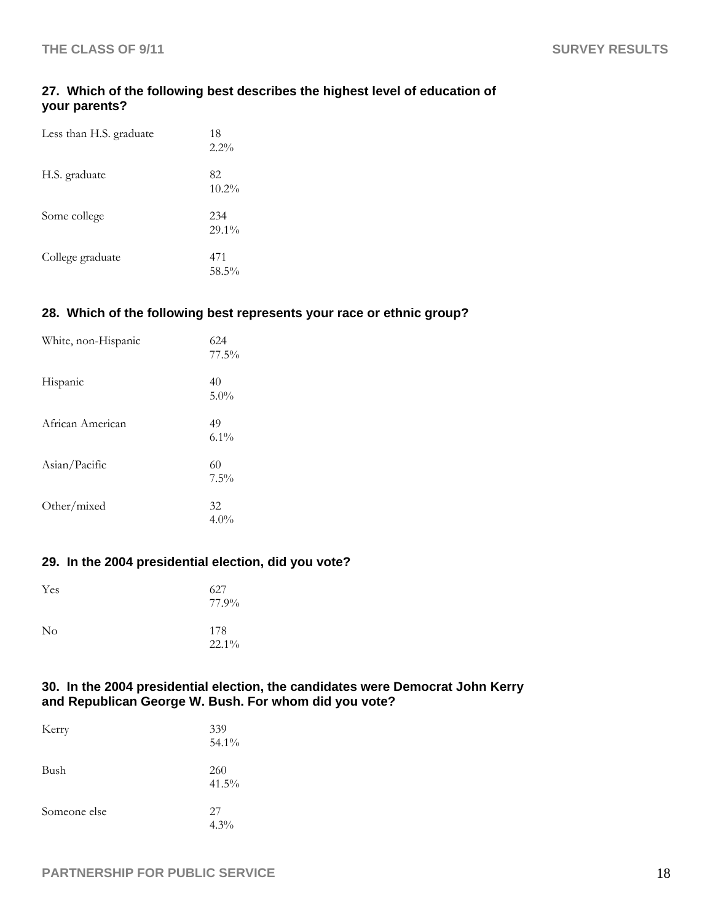## **27. Which of the following best describes the highest level of education of your parents?**

| Less than H.S. graduate | 18<br>$2.2\%$   |
|-------------------------|-----------------|
| H.S. graduate           | 82<br>$10.2\%$  |
| Some college            | 234<br>$29.1\%$ |
| College graduate        | 471<br>58.5%    |

# **28. Which of the following best represents your race or ethnic group?**

| White, non-Hispanic | 624<br>77.5%  |
|---------------------|---------------|
| Hispanic            | 40<br>$5.0\%$ |
| African American    | 49<br>$6.1\%$ |
| Asian/Pacific       | 60<br>7.5%    |
| Other/mixed         | 32<br>$4.0\%$ |

#### **29. In the 2004 presidential election, did you vote?**

| Yes      | 627<br>77.9%    |
|----------|-----------------|
| $\rm No$ | 178<br>$22.1\%$ |

#### **30. In the 2004 presidential election, the candidates were Democrat John Kerry and Republican George W. Bush. For whom did you vote?**

| Kerry        | 339<br>54.1%    |
|--------------|-----------------|
| Bush         | 260<br>$41.5\%$ |
| Someone else | 27<br>$4.3\%$   |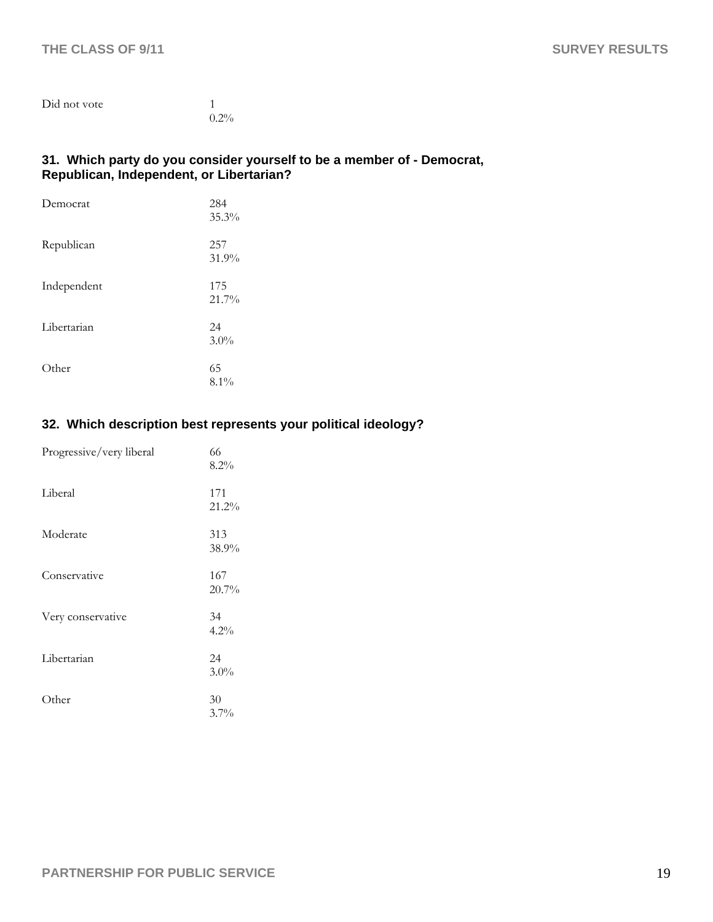| Did not vote |         |
|--------------|---------|
|              | $0.2\%$ |

#### **31. Which party do you consider yourself to be a member of - Democrat, Republican, Independent, or Libertarian?**

| Democrat    | 284<br>35.3%  |
|-------------|---------------|
| Republican  | 257<br>31.9%  |
| Independent | 175<br>21.7%  |
| Libertarian | 24<br>$3.0\%$ |
| Other       | 65<br>$8.1\%$ |

# **32. Which description best represents your political ideology?**

| Progressive/very liberal | 66<br>8.2%    |
|--------------------------|---------------|
| Liberal                  | 171<br>21.2%  |
| Moderate                 | 313<br>38.9%  |
| Conservative             | 167<br>20.7%  |
| Very conservative        | 34<br>4.2%    |
| Libertarian              | 24<br>$3.0\%$ |
| Other                    | 30<br>3.7%    |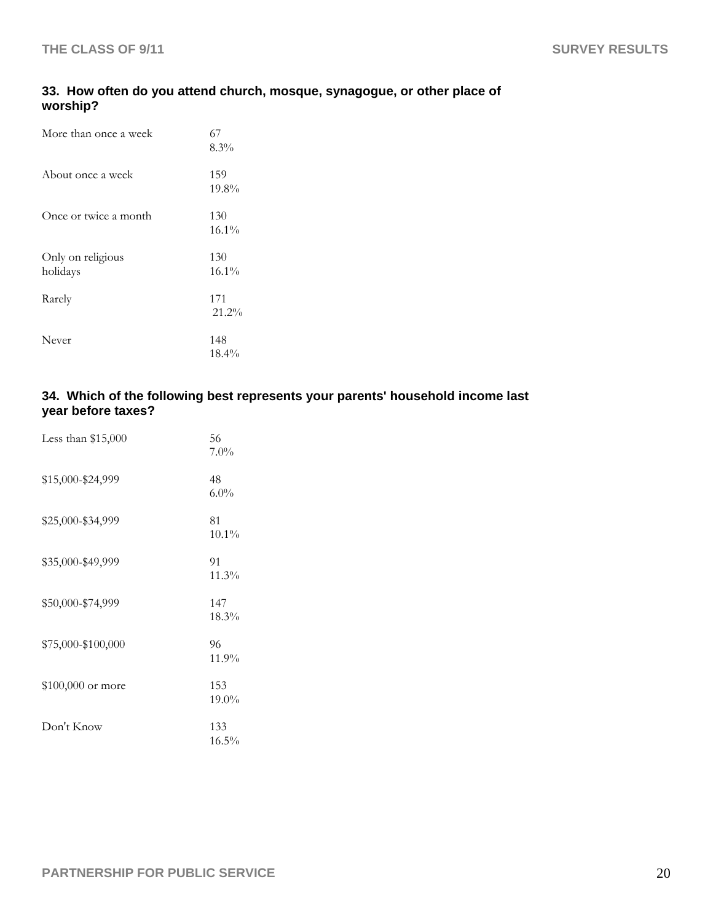# **33. How often do you attend church, mosque, synagogue, or other place of worship?**

| More than once a week         | 67<br>8.3%      |
|-------------------------------|-----------------|
| About once a week             | 159<br>19.8%    |
| Once or twice a month         | 130<br>$16.1\%$ |
| Only on religious<br>holidays | 130<br>$16.1\%$ |
| Rarely                        | 171<br>21.2%    |
| Never                         | 148<br>$18.4\%$ |

# **34. Which of the following best represents your parents' household income last year before taxes?**

| Less than $$15,000$ | 56<br>7.0%      |
|---------------------|-----------------|
| \$15,000-\$24,999   | 48<br>$6.0\%$   |
| \$25,000-\$34,999   | 81<br>$10.1\%$  |
| \$35,000-\$49,999   | 91<br>11.3%     |
| \$50,000-\$74,999   | 147<br>18.3%    |
| \$75,000-\$100,000  | 96<br>11.9%     |
| \$100,000 or more   | 153<br>$19.0\%$ |
| Don't Know          | 133<br>16.5%    |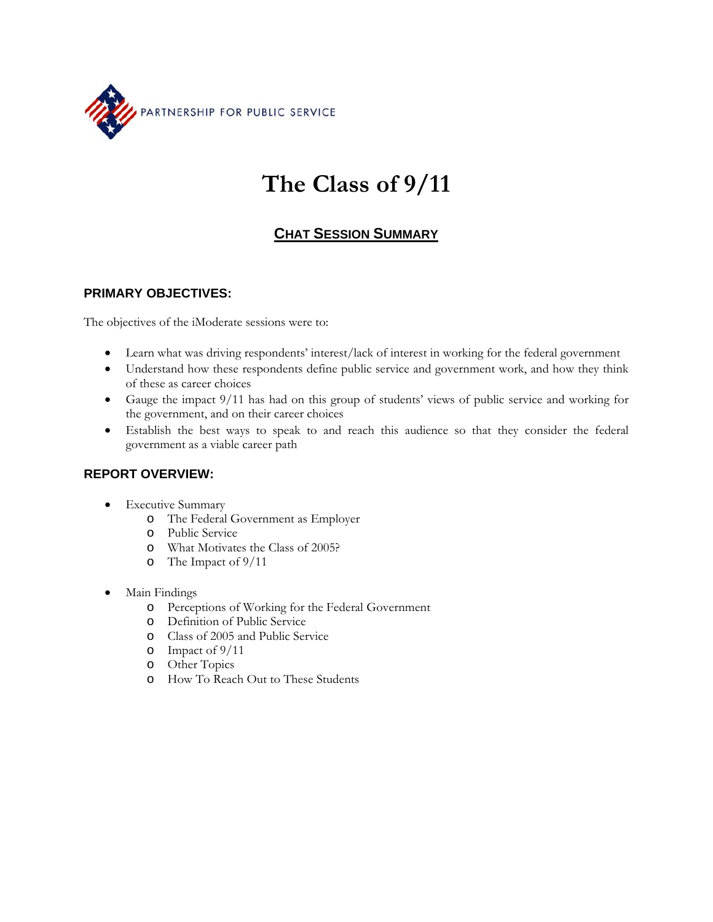

# **The Class of 9/11**

# **CHAT SESSION SUMMARY**

## **PRIMARY OBJECTIVES:**

The objectives of the iModerate sessions were to:

- Learn what was driving respondents' interest/lack of interest in working for the federal government
- Understand how these respondents define public service and government work, and how they think of these as career choices
- Gauge the impact 9/11 has had on this group of students' views of public service and working for the government, and on their career choices
- Establish the best ways to speak to and reach this audience so that they consider the federal government as a viable career path

## **REPORT OVERVIEW:**

- Executive Summary
	- o The Federal Government as Employer
	- o Public Service
	- o What Motivates the Class of 2005?
	- o The Impact of 9/11
- Main Findings
	- o Perceptions of Working for the Federal Government
	- o Definition of Public Service
	- o Class of 2005 and Public Service
	- o Impact of 9/11
	- o Other Topics
	- o How To Reach Out to These Students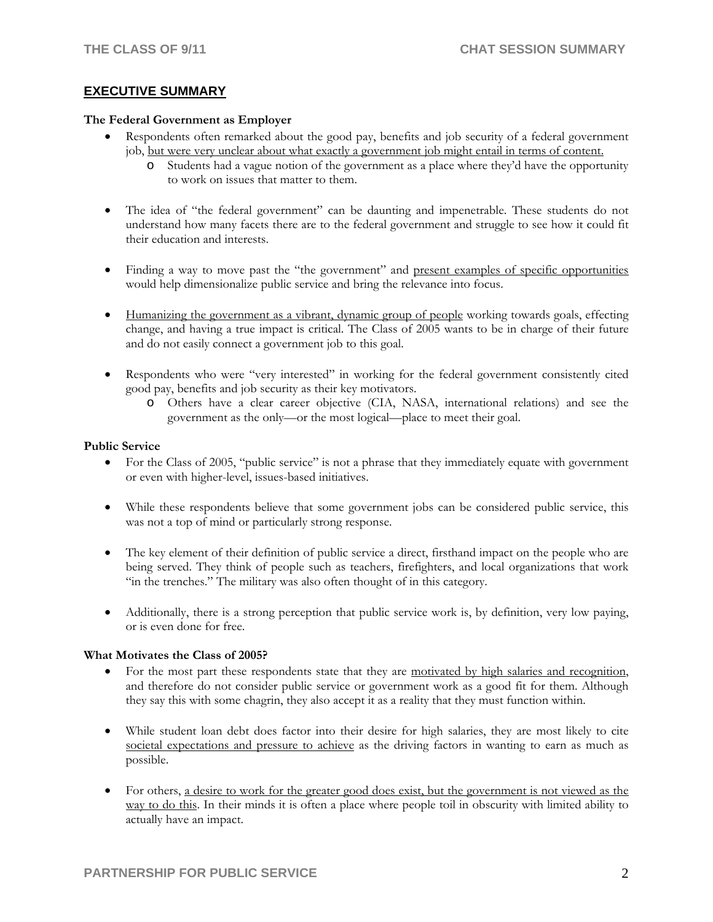#### **EXECUTIVE SUMMARY**

#### **The Federal Government as Employer**

- Respondents often remarked about the good pay, benefits and job security of a federal government job, but were very unclear about what exactly a government job might entail in terms of content.
	- o Students had a vague notion of the government as a place where they'd have the opportunity to work on issues that matter to them.
- The idea of "the federal government" can be daunting and impenetrable. These students do not understand how many facets there are to the federal government and struggle to see how it could fit their education and interests.
- Finding a way to move past the "the government" and present examples of specific opportunities would help dimensionalize public service and bring the relevance into focus.
- Humanizing the government as a vibrant, dynamic group of people working towards goals, effecting change, and having a true impact is critical. The Class of 2005 wants to be in charge of their future and do not easily connect a government job to this goal.
- Respondents who were "very interested" in working for the federal government consistently cited good pay, benefits and job security as their key motivators.
	- o Others have a clear career objective (CIA, NASA, international relations) and see the government as the only—or the most logical—place to meet their goal.

#### **Public Service**

- For the Class of 2005, "public service" is not a phrase that they immediately equate with government or even with higher-level, issues-based initiatives.
- While these respondents believe that some government jobs can be considered public service, this was not a top of mind or particularly strong response.
- The key element of their definition of public service a direct, firsthand impact on the people who are being served. They think of people such as teachers, firefighters, and local organizations that work "in the trenches." The military was also often thought of in this category.
- Additionally, there is a strong perception that public service work is, by definition, very low paying, or is even done for free.

#### **What Motivates the Class of 2005?**

- For the most part these respondents state that they are motivated by high salaries and recognition, and therefore do not consider public service or government work as a good fit for them. Although they say this with some chagrin, they also accept it as a reality that they must function within.
- While student loan debt does factor into their desire for high salaries, they are most likely to cite societal expectations and pressure to achieve as the driving factors in wanting to earn as much as possible.
- For others, a desire to work for the greater good does exist, but the government is not viewed as the way to do this. In their minds it is often a place where people toil in obscurity with limited ability to actually have an impact.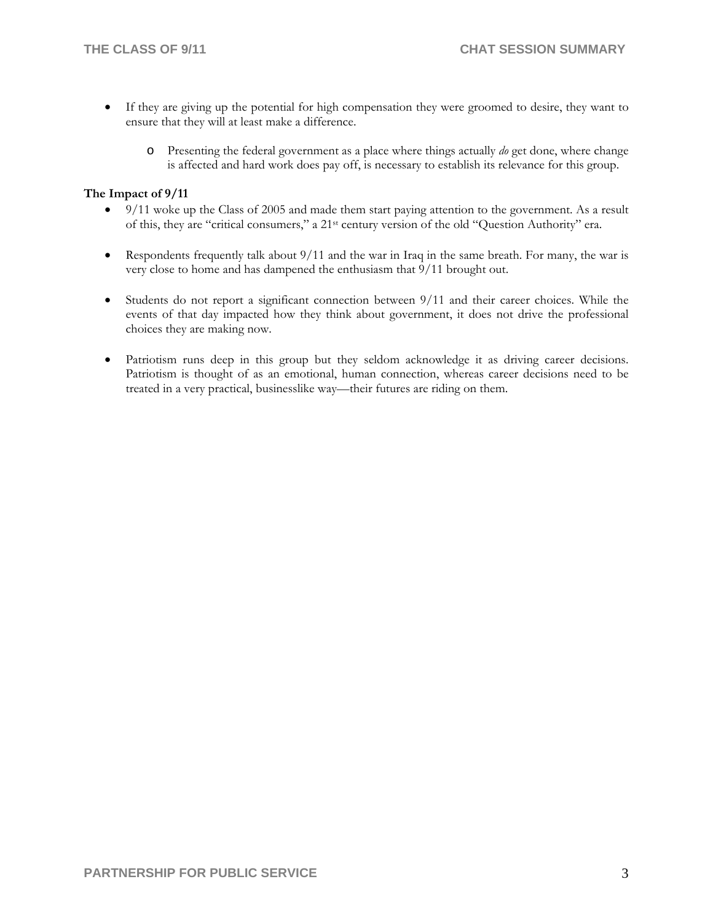- If they are giving up the potential for high compensation they were groomed to desire, they want to ensure that they will at least make a difference.
	- o Presenting the federal government as a place where things actually *do* get done, where change is affected and hard work does pay off, is necessary to establish its relevance for this group.

#### **The Impact of 9/11**

- 9/11 woke up the Class of 2005 and made them start paying attention to the government. As a result of this, they are "critical consumers," a 21st century version of the old "Question Authority" era.
- Respondents frequently talk about  $9/11$  and the war in Iraq in the same breath. For many, the war is very close to home and has dampened the enthusiasm that 9/11 brought out.
- Students do not report a significant connection between 9/11 and their career choices. While the events of that day impacted how they think about government, it does not drive the professional choices they are making now.
- Patriotism runs deep in this group but they seldom acknowledge it as driving career decisions. Patriotism is thought of as an emotional, human connection, whereas career decisions need to be treated in a very practical, businesslike way—their futures are riding on them.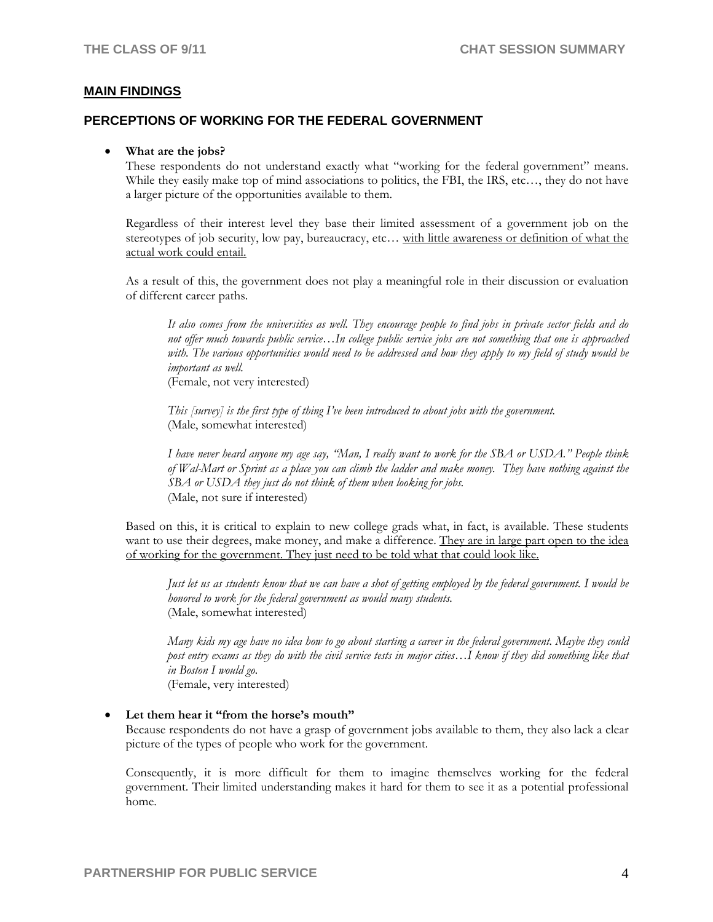#### **MAIN FINDINGS**

#### **PERCEPTIONS OF WORKING FOR THE FEDERAL GOVERNMENT**

#### • **What are the jobs?**

These respondents do not understand exactly what "working for the federal government" means. While they easily make top of mind associations to politics, the FBI, the IRS, etc..., they do not have a larger picture of the opportunities available to them.

Regardless of their interest level they base their limited assessment of a government job on the stereotypes of job security, low pay, bureaucracy, etc… with little awareness or definition of what the actual work could entail.

As a result of this, the government does not play a meaningful role in their discussion or evaluation of different career paths.

*It also comes from the universities as well. They encourage people to find jobs in private sector fields and do not offer much towards public service…In college public service jobs are not something that one is approached with. The various opportunities would need to be addressed and how they apply to my field of study would be important as well.* 

(Female, not very interested)

*This [survey] is the first type of thing I've been introduced to about jobs with the government.*  (Male, somewhat interested)

*I have never heard anyone my age say, "Man, I really want to work for the SBA or USDA." People think of Wal-Mart or Sprint as a place you can climb the ladder and make money. They have nothing against the SBA or USDA they just do not think of them when looking for jobs.*  (Male, not sure if interested)

Based on this, it is critical to explain to new college grads what, in fact, is available. These students want to use their degrees, make money, and make a difference. They are in large part open to the idea of working for the government. They just need to be told what that could look like.

*Just let us as students know that we can have a shot of getting employed by the federal government. I would be honored to work for the federal government as would many students.*  (Male, somewhat interested)

*Many kids my age have no idea how to go about starting a career in the federal government. Maybe they could post entry exams as they do with the civil service tests in major cities…I know if they did something like that in Boston I would go.* 

(Female, very interested)

#### • **Let them hear it "from the horse's mouth"**

Because respondents do not have a grasp of government jobs available to them, they also lack a clear picture of the types of people who work for the government.

Consequently, it is more difficult for them to imagine themselves working for the federal government. Their limited understanding makes it hard for them to see it as a potential professional home.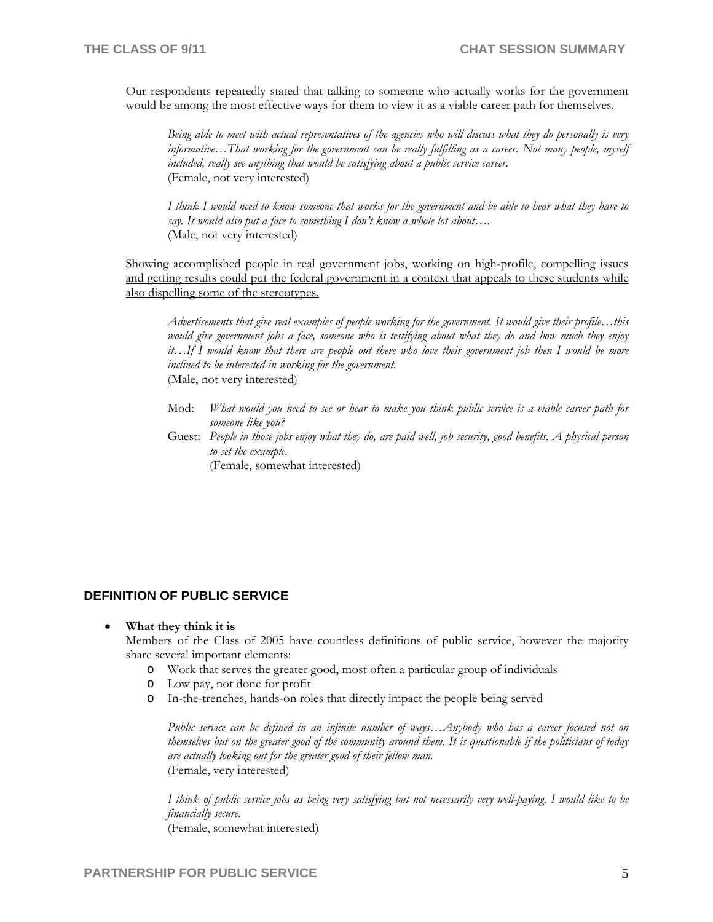Our respondents repeatedly stated that talking to someone who actually works for the government would be among the most effective ways for them to view it as a viable career path for themselves.

*Being able to meet with actual representatives of the agencies who will discuss what they do personally is very informative…That working for the government can be really fulfilling as a career. Not many people, myself* included, really see anything that would be satisfying about a public service career. (Female, not very interested)

*I think I would need to know someone that works for the government and be able to hear what they have to say. It would also put a face to something I don't know a whole lot about….* (Male, not very interested)

Showing accomplished people in real government jobs, working on high-profile, compelling issues and getting results could put the federal government in a context that appeals to these students while also dispelling some of the stereotypes.

*Advertisements that give real examples of people working for the government. It would give their profile…this would give government jobs a face, someone who is testifying about what they do and how much they enjoy it…If I would know that there are people out there who love their government job then I would be more inclined to be interested in working for the government.*  (Male, not very interested)

Mod: *What would you need to see or hear to make you think public service is a viable career path for someone like you?*

Guest: *People in those jobs enjoy what they do, are paid well, job security, good benefits. A physical person to set the example.* 

(Female, somewhat interested)

#### **DEFINITION OF PUBLIC SERVICE**

#### • **What they think it is**

Members of the Class of 2005 have countless definitions of public service, however the majority share several important elements:

- o Work that serves the greater good, most often a particular group of individuals
- o Low pay, not done for profit
- o In-the-trenches, hands-on roles that directly impact the people being served

*Public service can be defined in an infinite number of ways…Anybody who has a career focused not on themselves but on the greater good of the community around them. It is questionable if the politicians of today are actually looking out for the greater good of their fellow man.*  (Female, very interested)

*I think of public service jobs as being very satisfying but not necessarily very well-paying. I would like to be financially secure.*  (Female, somewhat interested)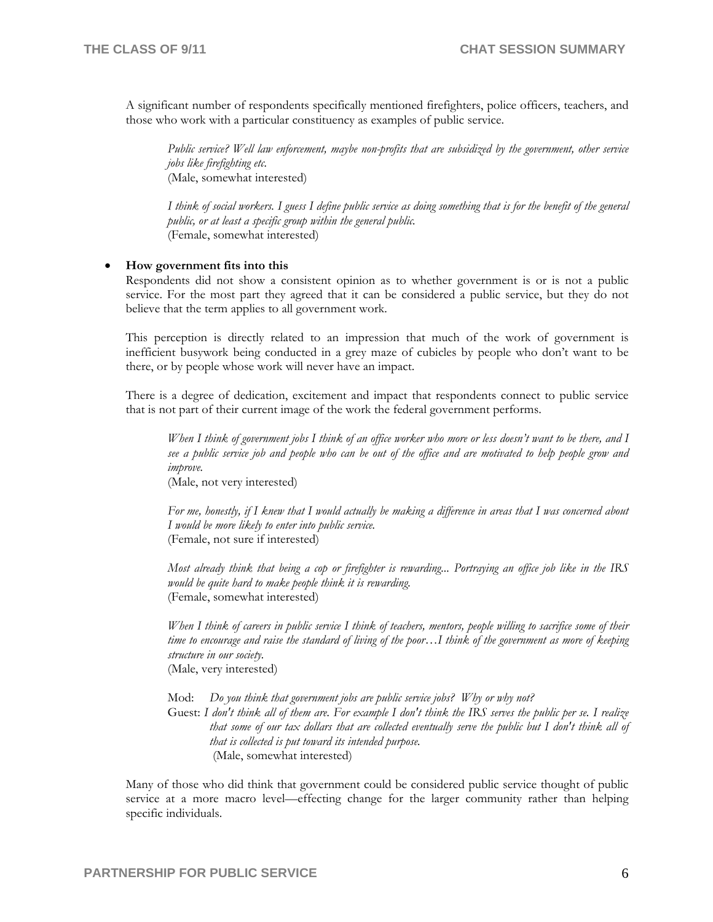A significant number of respondents specifically mentioned firefighters, police officers, teachers, and those who work with a particular constituency as examples of public service.

*Public service? Well law enforcement, maybe non-profits that are subsidized by the government, other service jobs like firefighting etc.*  (Male, somewhat interested)

*I think of social workers. I guess I define public service as doing something that is for the benefit of the general public, or at least a specific group within the general public.*  (Female, somewhat interested)

#### • **How government fits into this**

Respondents did not show a consistent opinion as to whether government is or is not a public service. For the most part they agreed that it can be considered a public service, but they do not believe that the term applies to all government work.

This perception is directly related to an impression that much of the work of government is inefficient busywork being conducted in a grey maze of cubicles by people who don't want to be there, or by people whose work will never have an impact.

There is a degree of dedication, excitement and impact that respondents connect to public service that is not part of their current image of the work the federal government performs.

*When I think of government jobs I think of an office worker who more or less doesn't want to be there, and I see a public service job and people who can be out of the office and are motivated to help people grow and improve.* 

(Male, not very interested)

*For me, honestly, if I knew that I would actually be making a difference in areas that I was concerned about I would be more likely to enter into public service.*  (Female, not sure if interested)

*Most already think that being a cop or firefighter is rewarding... Portraying an office job like in the IRS would be quite hard to make people think it is rewarding.*  (Female, somewhat interested)

*When I think of careers in public service I think of teachers, mentors, people willing to sacrifice some of their time to encourage and raise the standard of living of the poor…I think of the government as more of keeping structure in our society.*  (Male, very interested)

Mod: *Do you think that government jobs are public service jobs? Why or why not?* 

Guest: *I don't think all of them are. For example I don't think the IRS serves the public per se. I realize that some of our tax dollars that are collected eventually serve the public but I don't think all of that is collected is put toward its intended purpose.* (Male, somewhat interested)

Many of those who did think that government could be considered public service thought of public service at a more macro level—effecting change for the larger community rather than helping specific individuals.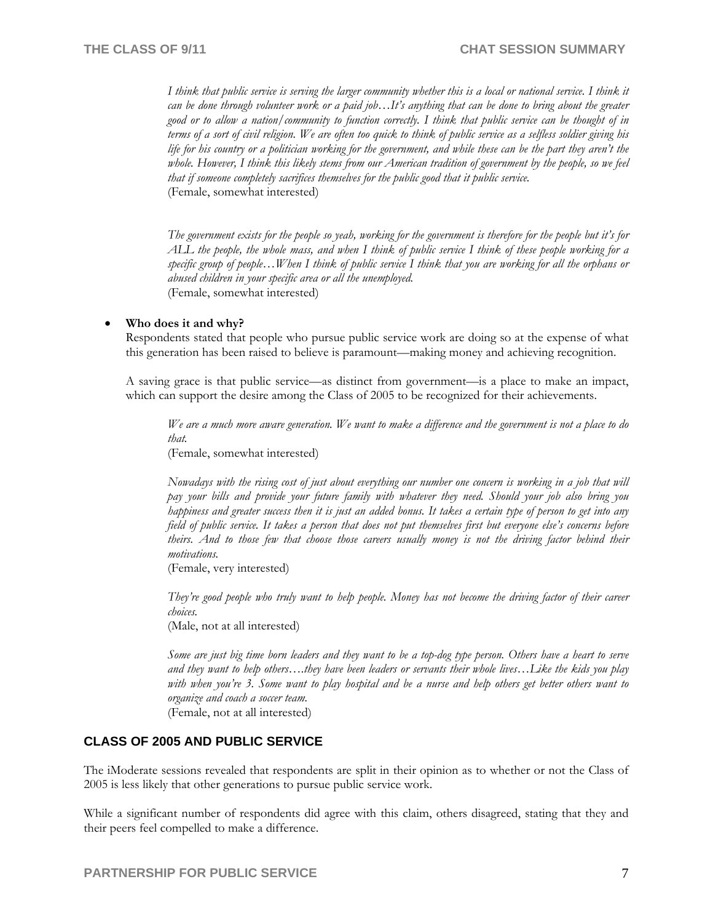*I think that public service is serving the larger community whether this is a local or national service. I think it can be done through volunteer work or a paid job…It's anything that can be done to bring about the greater good or to allow a nation/community to function correctly. I think that public service can be thought of in terms of a sort of civil religion. We are often too quick to think of public service as a selfless soldier giving his life for his country or a politician working for the government, and while these can be the part they aren't the whole. However, I think this likely stems from our American tradition of government by the people, so we feel that if someone completely sacrifices themselves for the public good that it public service.*  (Female, somewhat interested)

*The government exists for the people so yeah, working for the government is therefore for the people but it's for ALL the people, the whole mass, and when I think of public service I think of these people working for a specific group of people…When I think of public service I think that you are working for all the orphans or abused children in your specific area or all the unemployed.*  (Female, somewhat interested)

#### • **Who does it and why?**

Respondents stated that people who pursue public service work are doing so at the expense of what this generation has been raised to believe is paramount—making money and achieving recognition.

A saving grace is that public service—as distinct from government—is a place to make an impact, which can support the desire among the Class of 2005 to be recognized for their achievements.

*We are a much more aware generation. We want to make a difference and the government is not a place to do that.* 

(Female, somewhat interested)

*Nowadays with the rising cost of just about everything our number one concern is working in a job that will pay your bills and provide your future family with whatever they need. Should your job also bring you happiness and greater success then it is just an added bonus. It takes a certain type of person to get into any field of public service. It takes a person that does not put themselves first but everyone else's concerns before theirs. And to those few that choose those careers usually money is not the driving factor behind their motivations.* 

(Female, very interested)

*They're good people who truly want to help people. Money has not become the driving factor of their career choices.* 

(Male, not at all interested)

*Some are just big time born leaders and they want to be a top-dog type person. Others have a heart to serve and they want to help others….they have been leaders or servants their whole lives…Like the kids you play with when you're 3. Some want to play hospital and be a nurse and help others get better others want to organize and coach a soccer team.*  (Female, not at all interested)

## **CLASS OF 2005 AND PUBLIC SERVICE**

The iModerate sessions revealed that respondents are split in their opinion as to whether or not the Class of 2005 is less likely that other generations to pursue public service work.

While a significant number of respondents did agree with this claim, others disagreed, stating that they and their peers feel compelled to make a difference.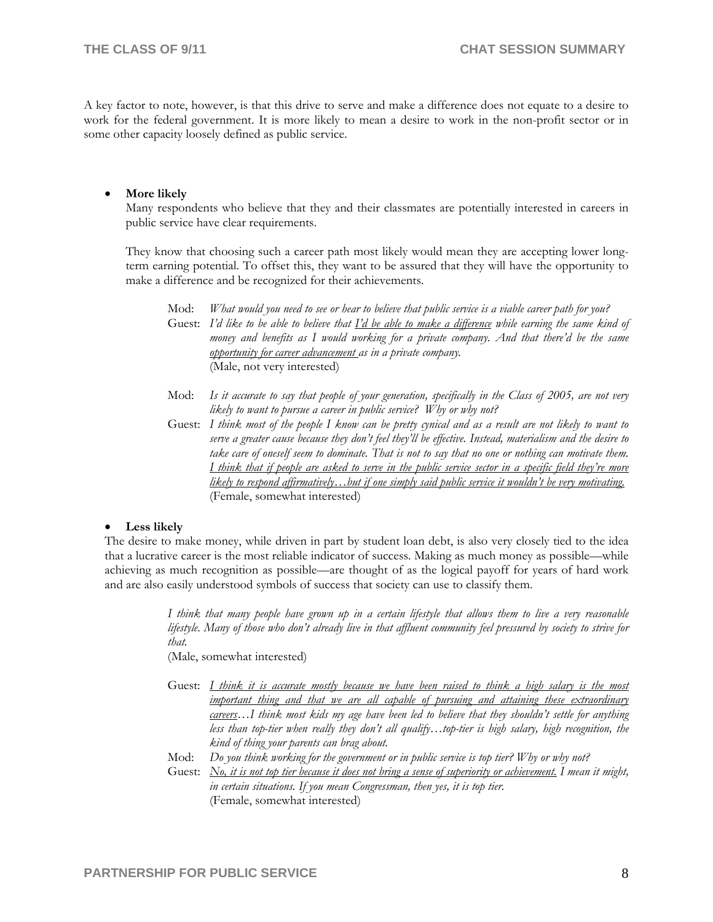A key factor to note, however, is that this drive to serve and make a difference does not equate to a desire to work for the federal government. It is more likely to mean a desire to work in the non-profit sector or in some other capacity loosely defined as public service.

#### • **More likely**

Many respondents who believe that they and their classmates are potentially interested in careers in public service have clear requirements.

They know that choosing such a career path most likely would mean they are accepting lower longterm earning potential. To offset this, they want to be assured that they will have the opportunity to make a difference and be recognized for their achievements.

| Mod: | What would you need to see or hear to believe that public service is a viable career path for you?                 |
|------|--------------------------------------------------------------------------------------------------------------------|
|      | Guest: I'd like to be able to believe that $\Gamma$ 'd be able to make a difference while earning the same kind of |
|      | money and benefits as I would working for a private company. And that there'd be the same                          |
|      | opportunity for career advancement as in a private company.                                                        |
|      | (Male, not very interested)                                                                                        |

- Mod: *Is it accurate to say that people of your generation, specifically in the Class of 2005, are not very likely to want to pursue a career in public service? Why or why not?*
- Guest: *I think most of the people I know can be pretty cynical and as a result are not likely to want to serve a greater cause because they don't feel they'll be effective. Instead, materialism and the desire to take care of oneself seem to dominate. That is not to say that no one or nothing can motivate them. I think that if people are asked to serve in the public service sector in a specific field they're more likely to respond affirmatively…but if one simply said public service it wouldn't be very motivating.*  (Female, somewhat interested)

#### • **Less likely**

The desire to make money, while driven in part by student loan debt, is also very closely tied to the idea that a lucrative career is the most reliable indicator of success. Making as much money as possible—while achieving as much recognition as possible—are thought of as the logical payoff for years of hard work and are also easily understood symbols of success that society can use to classify them.

> *I think that many people have grown up in a certain lifestyle that allows them to live a very reasonable lifestyle. Many of those who don't already live in that affluent community feel pressured by society to strive for that.*

(Male, somewhat interested)

- Guest: *I think it is accurate mostly because we have been raised to think a high salary is the most important thing and that we are all capable of pursuing and attaining these extraordinary careers…I think most kids my age have been led to believe that they shouldn't settle for anything less than top-tier when really they don't all qualify…top-tier is high salary, high recognition, the kind of thing your parents can brag about.*
- Mod: *Do you think working for the government or in public service is top tier? Why or why not?*
- Guest: *No, it is not top tier because it does not bring a sense of superiority or achievement. I mean it might, in certain situations. If you mean Congressman, then yes, it is top tier.*  (Female, somewhat interested)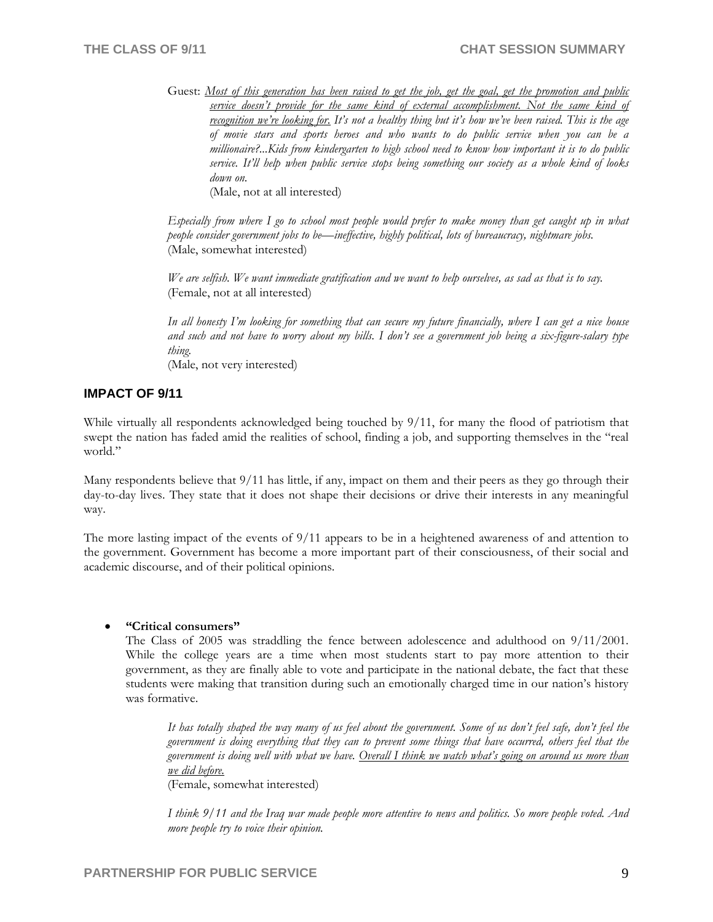Guest: *Most of this generation has been raised to get the job, get the goal, get the promotion and public service doesn't provide for the same kind of external accomplishment. Not the same kind of recognition we're looking for. It's not a healthy thing but it's how we've been raised. This is the age of movie stars and sports heroes and who wants to do public service when you can be a millionaire?...Kids from kindergarten to high school need to know how important it is to do public service. It'll help when public service stops being something our society as a whole kind of looks down on.*  (Male, not at all interested)

*Especially from where I go to school most people would prefer to make money than get caught up in what people consider government jobs to be—ineffective, highly political, lots of bureaucracy, nightmare jobs.* 

(Male, somewhat interested)

*We are selfish. We want immediate gratification and we want to help ourselves, as sad as that is to say.*  (Female, not at all interested)

*In all honesty I'm looking for something that can secure my future financially, where I can get a nice house and such and not have to worry about my bills. I don't see a government job being a six-figure-salary type thing.*  (Male, not very interested)

#### **IMPACT OF 9/11**

While virtually all respondents acknowledged being touched by 9/11, for many the flood of patriotism that swept the nation has faded amid the realities of school, finding a job, and supporting themselves in the "real world."

Many respondents believe that 9/11 has little, if any, impact on them and their peers as they go through their day-to-day lives. They state that it does not shape their decisions or drive their interests in any meaningful way.

The more lasting impact of the events of 9/11 appears to be in a heightened awareness of and attention to the government. Government has become a more important part of their consciousness, of their social and academic discourse, and of their political opinions.

#### • **"Critical consumers"**

The Class of 2005 was straddling the fence between adolescence and adulthood on 9/11/2001. While the college years are a time when most students start to pay more attention to their government, as they are finally able to vote and participate in the national debate, the fact that these students were making that transition during such an emotionally charged time in our nation's history was formative.

*It has totally shaped the way many of us feel about the government. Some of us don't feel safe, don't feel the government is doing everything that they can to prevent some things that have occurred, others feel that the government is doing well with what we have. Overall I think we watch what's going on around us more than we did before.*  (Female, somewhat interested)

*I think 9/11 and the Iraq war made people more attentive to news and politics. So more people voted. And more people try to voice their opinion.*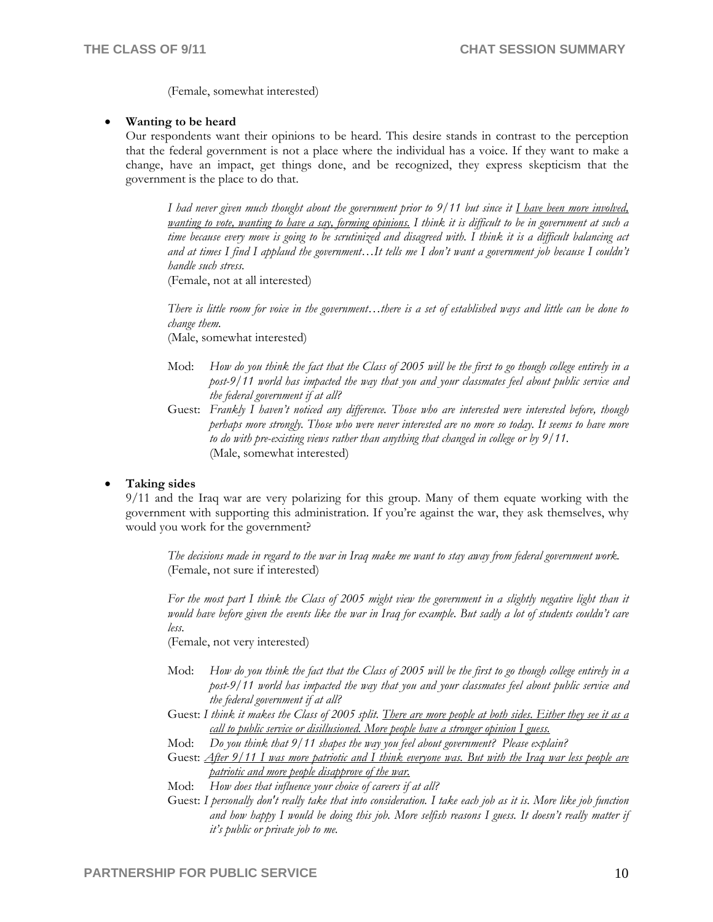(Female, somewhat interested)

#### • **Wanting to be heard**

Our respondents want their opinions to be heard. This desire stands in contrast to the perception that the federal government is not a place where the individual has a voice. If they want to make a change, have an impact, get things done, and be recognized, they express skepticism that the government is the place to do that.

*I had never given much thought about the government prior to 9/11 but since it I have been more involved, wanting to vote, wanting to have a say, forming opinions.* I think it is difficult to be in government at such a *time because every move is going to be scrutinized and disagreed with. I think it is a difficult balancing act and at times I find I applaud the government…It tells me I don't want a government job because I couldn't handle such stress.* 

(Female, not at all interested)

*There is little room for voice in the government…there is a set of established ways and little can be done to change them.*

(Male, somewhat interested)

- Mod: *How do you think the fact that the Class of 2005 will be the first to go though college entirely in a post-9/11 world has impacted the way that you and your classmates feel about public service and the federal government if at all?*
- Guest: *Frankly I haven't noticed any difference. Those who are interested were interested before, though perhaps more strongly. Those who were never interested are no more so today. It seems to have more to do with pre-existing views rather than anything that changed in college or by 9/11.*  (Male, somewhat interested)

#### • **Taking sides**

9/11 and the Iraq war are very polarizing for this group. Many of them equate working with the government with supporting this administration. If you're against the war, they ask themselves, why would you work for the government?

*The decisions made in regard to the war in Iraq make me want to stay away from federal government work.*  (Female, not sure if interested)

*For the most part I think the Class of 2005 might view the government in a slightly negative light than it would have before given the events like the war in Iraq for example. But sadly a lot of students couldn't care less.* 

(Female, not very interested)

- Mod: *How do you think the fact that the Class of 2005 will be the first to go though college entirely in a post-9/11 world has impacted the way that you and your classmates feel about public service and the federal government if at all?*
- Guest: *I think it makes the Class of 2005 split. There are more people at both sides. Either they see it as a call to public service or disillusioned. More people have a stronger opinion I guess.*
- Mod: *Do you think that 9/11 shapes the way you feel about government? Please explain?*
- Guest: *After 9/11 I was more patriotic and I think everyone was. But with the Iraq war less people are patriotic and more people disapprove of the war.*
- Mod: *How does that influence your choice of careers if at all?*
- Guest: *I personally don't really take that into consideration. I take each job as it is. More like job function and how happy I would be doing this job. More selfish reasons I guess. It doesn't really matter if it's public or private job to me.*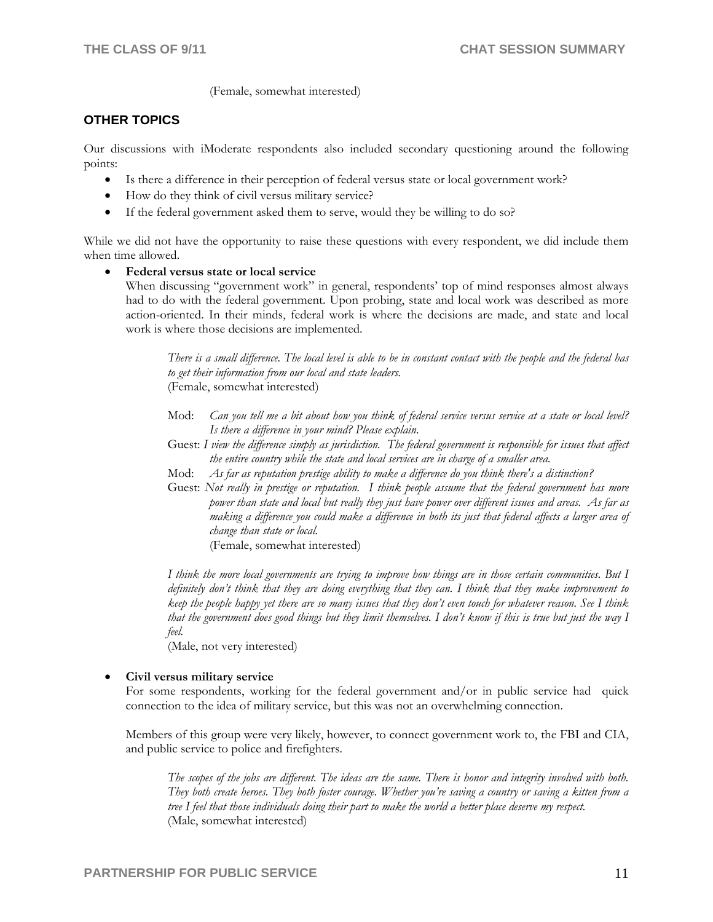(Female, somewhat interested)

## **OTHER TOPICS**

Our discussions with iModerate respondents also included secondary questioning around the following points:

- Is there a difference in their perception of federal versus state or local government work?
- How do they think of civil versus military service?
- If the federal government asked them to serve, would they be willing to do so?

While we did not have the opportunity to raise these questions with every respondent, we did include them when time allowed.

#### • **Federal versus state or local service**

When discussing "government work" in general, respondents' top of mind responses almost always had to do with the federal government. Upon probing, state and local work was described as more action-oriented. In their minds, federal work is where the decisions are made, and state and local work is where those decisions are implemented.

*There is a small difference. The local level is able to be in constant contact with the people and the federal has to get their information from our local and state leaders.*  (Female, somewhat interested)

- Mod: *Can you tell me a bit about how you think of federal service versus service at a state or local level? Is there a difference in your mind? Please explain.*
- Guest: *I view the difference simply as jurisdiction. The federal government is responsible for issues that affect the entire country while the state and local services are in charge of a smaller area.*
- Mod: *As far as reputation prestige ability to make a difference do you think there's a distinction?*
- Guest: *Not really in prestige or reputation. I think people assume that the federal government has more power than state and local but really they just have power over different issues and areas. As far as making a difference you could make a difference in both its just that federal affects a larger area of change than state or local.*

(Female, somewhat interested)

*I think the more local governments are trying to improve how things are in those certain communities. But I definitely don't think that they are doing everything that they can. I think that they make improvement to keep the people happy yet there are so many issues that they don't even touch for whatever reason. See I think that the government does good things but they limit themselves. I don't know if this is true but just the way I feel.* 

(Male, not very interested)

#### • **Civil versus military service**

For some respondents, working for the federal government and/or in public service had quick connection to the idea of military service, but this was not an overwhelming connection.

Members of this group were very likely, however, to connect government work to, the FBI and CIA, and public service to police and firefighters.

*The scopes of the jobs are different. The ideas are the same. There is honor and integrity involved with both. They both create heroes. They both foster courage. Whether you're saving a country or saving a kitten from a tree I feel that those individuals doing their part to make the world a better place deserve my respect. (Male, somewhat interested)*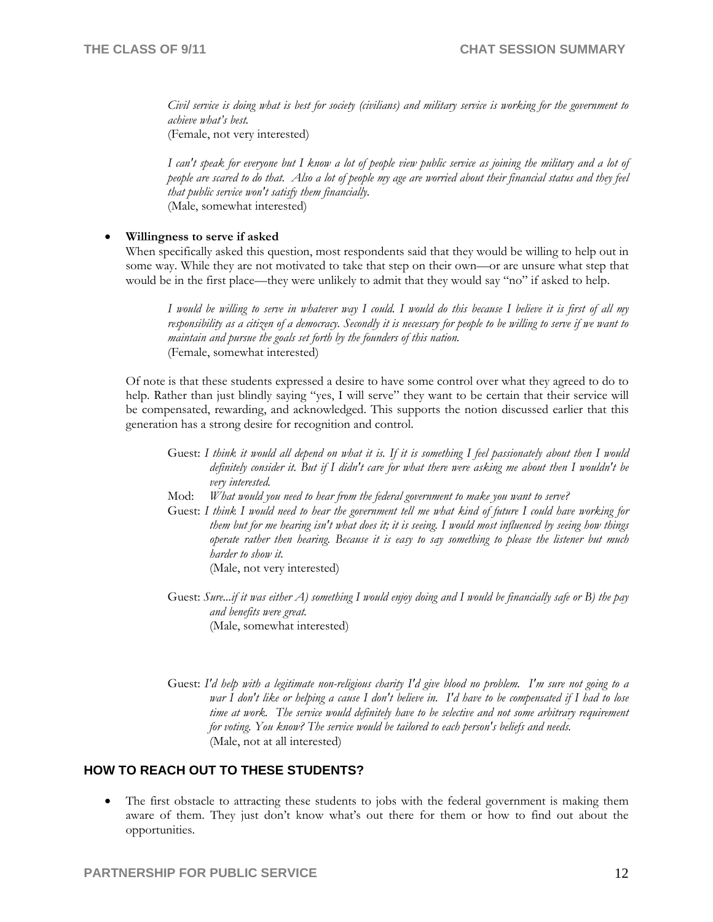*Civil service is doing what is best for society (civilians) and military service is working for the government to achieve what's best.* (Female, not very interested)

*I can't speak for everyone but I know a lot of people view public service as joining the military and a lot of people are scared to do that. Also a lot of people my age are worried about their financial status and they feel that public service won't satisfy them financially.*  (Male, somewhat interested)

#### • **Willingness to serve if asked**

When specifically asked this question, most respondents said that they would be willing to help out in some way. While they are not motivated to take that step on their own—or are unsure what step that would be in the first place—they were unlikely to admit that they would say "no" if asked to help.

*I would be willing to serve in whatever way I could. I would do this because I believe it is first of all my responsibility as a citizen of a democracy. Secondly it is necessary for people to be willing to serve if we want to maintain and pursue the goals set forth by the founders of this nation.*  (Female, somewhat interested)

Of note is that these students expressed a desire to have some control over what they agreed to do to help. Rather than just blindly saying "yes, I will serve" they want to be certain that their service will be compensated, rewarding, and acknowledged. This supports the notion discussed earlier that this generation has a strong desire for recognition and control.

- Guest: *I think it would all depend on what it is. If it is something I feel passionately about then I would definitely consider it. But if I didn't care for what there were asking me about then I wouldn't be very interested.*
- Mod: *What would you need to hear from the federal government to make you want to serve?*
- Guest: *I think I would need to hear the government tell me what kind of future I could have working for them but for me hearing isn't what does it; it is seeing. I would most influenced by seeing how things operate rather then hearing. Because it is easy to say something to please the listener but much harder to show it.* (Male, not very interested)
- Guest: *Sure...if it was either A) something I would enjoy doing and I would be financially safe or B) the pay and benefits were great.*  (Male, somewhat interested)
- Guest: *I'd help with a legitimate non-religious charity I'd give blood no problem. I'm sure not going to a war I don't like or helping a cause I don't believe in. I'd have to be compensated if I had to lose time at work. The service would definitely have to be selective and not some arbitrary requirement for voting. You know? The service would be tailored to each person's beliefs and needs.*  (Male, not at all interested)

## **HOW TO REACH OUT TO THESE STUDENTS?**

• The first obstacle to attracting these students to jobs with the federal government is making them aware of them. They just don't know what's out there for them or how to find out about the opportunities.